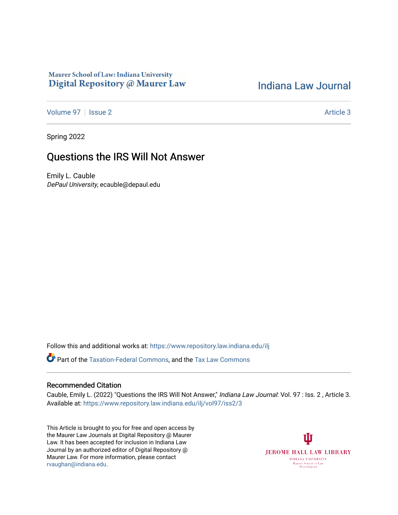## Maurer School of Law: Indiana University Digital Repository @ Maurer Law

# [Indiana Law Journal](https://www.repository.law.indiana.edu/ilj)

[Volume 97](https://www.repository.law.indiana.edu/ilj/vol97) | [Issue 2](https://www.repository.law.indiana.edu/ilj/vol97/iss2) Article 3

Spring 2022

# Questions the IRS Will Not Answer

Emily L. Cauble DePaul University, ecauble@depaul.edu

Follow this and additional works at: [https://www.repository.law.indiana.edu/ilj](https://www.repository.law.indiana.edu/ilj?utm_source=www.repository.law.indiana.edu%2Filj%2Fvol97%2Fiss2%2F3&utm_medium=PDF&utm_campaign=PDFCoverPages) 

Part of the [Taxation-Federal Commons](http://network.bepress.com/hgg/discipline/881?utm_source=www.repository.law.indiana.edu%2Filj%2Fvol97%2Fiss2%2F3&utm_medium=PDF&utm_campaign=PDFCoverPages), and the [Tax Law Commons](http://network.bepress.com/hgg/discipline/898?utm_source=www.repository.law.indiana.edu%2Filj%2Fvol97%2Fiss2%2F3&utm_medium=PDF&utm_campaign=PDFCoverPages) 

## Recommended Citation

Cauble, Emily L. (2022) "Questions the IRS Will Not Answer," Indiana Law Journal: Vol. 97 : Iss. 2 , Article 3. Available at: [https://www.repository.law.indiana.edu/ilj/vol97/iss2/3](https://www.repository.law.indiana.edu/ilj/vol97/iss2/3?utm_source=www.repository.law.indiana.edu%2Filj%2Fvol97%2Fiss2%2F3&utm_medium=PDF&utm_campaign=PDFCoverPages) 

This Article is brought to you for free and open access by the Maurer Law Journals at Digital Repository @ Maurer Law. It has been accepted for inclusion in Indiana Law Journal by an authorized editor of Digital Repository @ Maurer Law. For more information, please contact [rvaughan@indiana.edu.](mailto:rvaughan@indiana.edu)

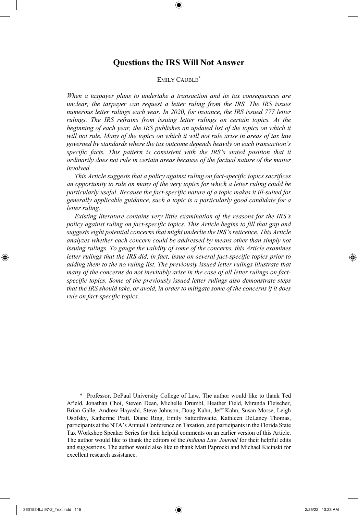## **Questions the IRS Will Not Answer**

### EMILY CAUBLE<sup>\*</sup>

*When a taxpayer plans to undertake a transaction and its tax consequences are unclear, the taxpayer can request a letter ruling from the IRS. The IRS issues numerous letter rulings each year. In 2020, for instance, the IRS issued 777 letter rulings. The IRS refrains from issuing letter rulings on certain topics. At the beginning of each year, the IRS publishes an updated list of the topics on which it will not rule. Many of the topics on which it will not rule arise in areas of tax law governed by standards where the tax outcome depends heavily on each transaction's specific facts. This pattern is consistent with the IRS's stated position that it ordinarily does not rule in certain areas because of the factual nature of the matter involved.*

*This Article suggests that a policy against ruling on fact-specific topics sacrifices an opportunity to rule on many of the very topics for which a letter ruling could be particularly useful. Because the fact-specific nature of a topic makes it ill-suited for generally applicable guidance, such a topic is a particularly good candidate for a letter ruling.*

*Existing literature contains very little examination of the reasons for the IRS's policy against ruling on fact-specific topics. This Article begins to fill that gap and suggests eight potential concerns that might underlie the IRS's reticence. This Article analyzes whether each concern could be addressed by means other than simply not issuing rulings. To gauge the validity of some of the concerns, this Article examines letter rulings that the IRS did, in fact, issue on several fact-specific topics prior to adding them to the no ruling list. The previously issued letter rulings illustrate that many of the concerns do not inevitably arise in the case of all letter rulings on factspecific topics. Some of the previously issued letter rulings also demonstrate steps that the IRS should take, or avoid, in order to mitigate some of the concerns if it does rule on fact-specific topics.* 

<sup>\*</sup> Professor, DePaul University College of Law. The author would like to thank Ted Afield, Jonathan Choi, Steven Dean, Michelle Drumbl, Heather Field, Miranda Fleischer, Brian Galle, Andrew Hayashi, Steve Johnson, Doug Kahn, Jeff Kahn, Susan Morse, Leigh Osofsky, Katherine Pratt, Diane Ring, Emily Satterthwaite, Kathleen DeLaney Thomas, participants at the NTA's Annual Conference on Taxation, and participants in the Florida State Tax Workshop Speaker Series for their helpful comments on an earlier version of this Article. The author would like to thank the editors of the *Indiana Law Journal* for their helpful edits and suggestions. The author would also like to thank Matt Paprocki and Michael Kicinski for excellent research assistance.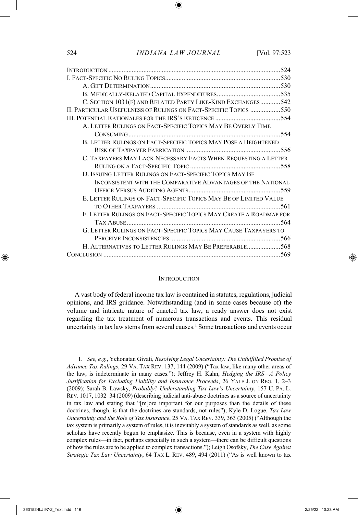| C. SECTION 1031(F) AND RELATED PARTY LIKE-KIND EXCHANGES542        |  |
|--------------------------------------------------------------------|--|
| II. PARTICULAR USEFULNESS OF RULINGS ON FACT-SPECIFIC TOPICS 550   |  |
|                                                                    |  |
| A. LETTER RULINGS ON FACT-SPECIFIC TOPICS MAY BE OVERLY TIME       |  |
|                                                                    |  |
| B. LETTER RULINGS ON FACT-SPECIFIC TOPICS MAY POSE A HEIGHTENED    |  |
|                                                                    |  |
| C. TAXPAYERS MAY LACK NECESSARY FACTS WHEN REQUESTING A LETTER     |  |
|                                                                    |  |
| D. ISSUING LETTER RULINGS ON FACT-SPECIFIC TOPICS MAY BE           |  |
| INCONSISTENT WITH THE COMPARATIVE ADVANTAGES OF THE NATIONAL       |  |
|                                                                    |  |
| E. LETTER RULINGS ON FACT-SPECIFIC TOPICS MAY BE OF LIMITED VALUE  |  |
|                                                                    |  |
| F. LETTER RULINGS ON FACT-SPECIFIC TOPICS MAY CREATE A ROADMAP FOR |  |
|                                                                    |  |
| G. LETTER RULINGS ON FACT-SPECIFIC TOPICS MAY CAUSE TAXPAYERS TO   |  |
|                                                                    |  |
| H. ALTERNATIVES TO LETTER RULINGS MAY BE PREFERABLE568             |  |
|                                                                    |  |
|                                                                    |  |

#### **INTRODUCTION**

A vast body of federal income tax law is contained in statutes, regulations, judicial opinions, and IRS guidance. Notwithstanding (and in some cases because of) the volume and intricate nature of enacted tax law, a ready answer does not exist regarding the tax treatment of numerous transactions and events. This residual uncertainty in tax law stems from several causes.<sup>1</sup> Some transactions and events occur

<sup>1.</sup> *See, e.g.*, Yehonatan Givati, *Resolving Legal Uncertainty: The Unfulfilled Promise of Advance Tax Rulings*, 29 VA. TAX REV. 137, 144 (2009) ("Tax law, like many other areas of the law, is indeterminate in many cases."); Jeffrey H. Kahn, *Hedging the IRS—A Policy Justification for Excluding Liability and Insurance Proceeds*, 26 YALE J. ON REG. 1, 2–3 (2009); Sarah B. Lawsky, *Probably? Understanding Tax Law's Uncertainty*, 157 U. PA. L. REV. 1017, 1032–34 (2009) (describing judicial anti-abuse doctrines as a source of uncertainty in tax law and stating that "[m]ore important for our purposes than the details of these doctrines, though, is that the doctrines are standards, not rules"); Kyle D. Logue, *Tax Law Uncertainty and the Role of Tax Insurance*, 25 VA. TAX REV. 339, 363 (2005) ("Although the tax system is primarily a system of rules, it is inevitably a system of standards as well, as some scholars have recently begun to emphasize. This is because, even in a system with highly complex rules—in fact, perhaps especially in such a system—there can be difficult questions of how the rules are to be applied to complex transactions."); Leigh Osofsky, *The Case Against Strategic Tax Law Uncertainty*, 64 TAX L. REV. 489, 494 (2011) ("As is well known to tax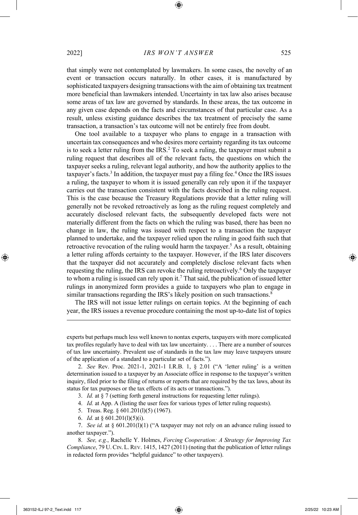that simply were not contemplated by lawmakers. In some cases, the novelty of an event or transaction occurs naturally. In other cases, it is manufactured by sophisticated taxpayers designing transactions with the aim of obtaining tax treatment more beneficial than lawmakers intended. Uncertainty in tax law also arises because some areas of tax law are governed by standards. In these areas, the tax outcome in any given case depends on the facts and circumstances of that particular case. As a result, unless existing guidance describes the tax treatment of precisely the same transaction, a transaction's tax outcome will not be entirely free from doubt.

One tool available to a taxpayer who plans to engage in a transaction with uncertain tax consequences and who desires more certainty regarding its tax outcome is to seek a letter ruling from the IRS.<sup>2</sup> To seek a ruling, the taxpayer must submit a ruling request that describes all of the relevant facts, the questions on which the taxpayer seeks a ruling, relevant legal authority, and how the authority applies to the taxpayer's facts.<sup>3</sup> In addition, the taxpayer must pay a filing fee.<sup>4</sup> Once the IRS issues a ruling, the taxpayer to whom it is issued generally can rely upon it if the taxpayer carries out the transaction consistent with the facts described in the ruling request. This is the case because the Treasury Regulations provide that a letter ruling will generally not be revoked retroactively as long as the ruling request completely and accurately disclosed relevant facts, the subsequently developed facts were not materially different from the facts on which the ruling was based, there has been no change in law, the ruling was issued with respect to a transaction the taxpayer planned to undertake, and the taxpayer relied upon the ruling in good faith such that retroactive revocation of the ruling would harm the taxpayer.<sup>5</sup> As a result, obtaining a letter ruling affords certainty to the taxpayer. However, if the IRS later discovers that the taxpayer did not accurately and completely disclose relevant facts when requesting the ruling, the IRS can revoke the ruling retroactively.<sup>6</sup> Only the taxpayer to whom a ruling is issued can rely upon it.<sup>7</sup> That said, the publication of issued letter rulings in anonymized form provides a guide to taxpayers who plan to engage in similar transactions regarding the IRS's likely position on such transactions.<sup>8</sup>

The IRS will not issue letter rulings on certain topics. At the beginning of each year, the IRS issues a revenue procedure containing the most up-to-date list of topics

experts but perhaps much less well known to nontax experts, taxpayers with more complicated tax profiles regularly have to deal with tax law uncertainty. . . . There are a number of sources of tax law uncertainty. Prevalent use of standards in the tax law may leave taxpayers unsure of the application of a standard to a particular set of facts.").

2. *See* Rev. Proc. 2021-1, 2021-1 I.R.B. 1, § 2.01 ("A 'letter ruling' is a written determination issued to a taxpayer by an Associate office in response to the taxpayer's written inquiry, filed prior to the filing of returns or reports that are required by the tax laws, about its status for tax purposes or the tax effects of its acts or transactions.").

3. *Id.* at § 7 (setting forth general instructions for requesting letter rulings).

4. *Id.* at App. A (listing the user fees for various types of letter ruling requests).

5. Treas. Reg. § 601.201(l)(5) (1967).

6. *Id.* at § 601.201(l)(5)(i).

<sup>7.</sup> *See id.* at § 601.201(l)(1) ("A taxpayer may not rely on an advance ruling issued to another taxpayer.").

<sup>8.</sup> *See, e.g.*, Rachelle Y. Holmes, *Forcing Cooperation: A Strategy for Improving Tax Compliance*, 79 U.CIN. L.REV. 1415, 1427 (2011) (noting that the publication of letter rulings in redacted form provides "helpful guidance" to other taxpayers).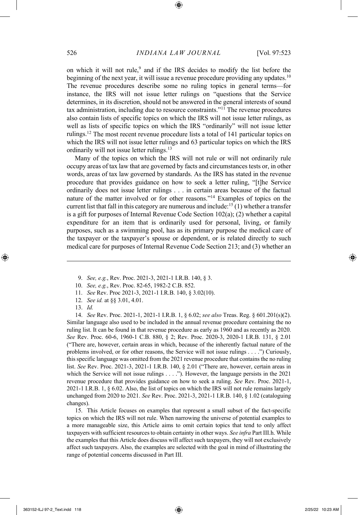on which it will not rule, $9$  and if the IRS decides to modify the list before the beginning of the next year, it will issue a revenue procedure providing any updates.<sup>10</sup> The revenue procedures describe some no ruling topics in general terms—for instance, the IRS will not issue letter rulings on "questions that the Service determines, in its discretion, should not be answered in the general interests of sound tax administration, including due to resource constraints."<sup>11</sup> The revenue procedures also contain lists of specific topics on which the IRS will not issue letter rulings, as well as lists of specific topics on which the IRS "ordinarily" will not issue letter rulings.<sup>12</sup> The most recent revenue procedure lists a total of 141 particular topics on which the IRS will not issue letter rulings and 63 particular topics on which the IRS ordinarily will not issue letter rulings.<sup>13</sup>

Many of the topics on which the IRS will not rule or will not ordinarily rule occupy areas of tax law that are governed by facts and circumstances tests or, in other words, areas of tax law governed by standards. As the IRS has stated in the revenue procedure that provides guidance on how to seek a letter ruling, "[t]he Service ordinarily does not issue letter rulings . . . in certain areas because of the factual nature of the matter involved or for other reasons."<sup>14</sup> Examples of topics on the current list that fall in this category are numerous and include:<sup>15</sup>(1) whether a transfer is a gift for purposes of Internal Revenue Code Section 102(a); (2) whether a capital expenditure for an item that is ordinarily used for personal, living, or family purposes, such as a swimming pool, has as its primary purpose the medical care of the taxpayer or the taxpayer's spouse or dependent, or is related directly to such medical care for purposes of Internal Revenue Code Section 213; and (3) whether an

- 9. *See, e.g.*, Rev. Proc. 2021-3, 2021-1 I.R.B. 140, § 3.
- 10. *See, e.g.*, Rev. Proc. 82-65, 1982-2 C.B. 852.
- 11. *See* Rev. Proc 2021-3, 2021-1 I.R.B. 140, § 3.02(10).
- 12. *See id.* at §§ 3.01, 4.01.
- 13. *Id.*

14. *See* Rev. Proc. 2021-1, 2021-1 I.R.B. 1, § 6.02; *see also* Treas. Reg. § 601.201(s)(2). Similar language also used to be included in the annual revenue procedure containing the no ruling list. It can be found in that revenue procedure as early as 1960 and as recently as 2020. *See* Rev. Proc. 60-6, 1960-1 C.B. 880, § 2; Rev. Proc. 2020-3, 2020-1 I.R.B. 131, § 2.01 ("There are, however, certain areas in which, because of the inherently factual nature of the problems involved, or for other reasons, the Service will not issue rulings . . . .") Curiously, this specific language was omitted from the 2021 revenue procedure that contains the no ruling list. *See* Rev. Proc. 2021-3, 2021-1 I.R.B. 140, § 2.01 ("There are, however, certain areas in which the Service will not issue rulings . . . ."). However, the language persists in the 2021 revenue procedure that provides guidance on how to seek a ruling. *See* Rev. Proc. 2021-1, 2021-1 I.R.B. 1, § 6.02. Also, the list of topics on which the IRS will not rule remains largely unchanged from 2020 to 2021. *See* Rev. Proc. 2021-3, 2021-1 I.R.B. 140, § 1.02 (cataloguing changes).

15. This Article focuses on examples that represent a small subset of the fact-specific topics on which the IRS will not rule. When narrowing the universe of potential examples to a more manageable size, this Article aims to omit certain topics that tend to only affect taxpayers with sufficient resources to obtain certainty in other ways. *See infra* Part III.h. While the examples that this Article does discuss will affect such taxpayers, they will not exclusively affect such taxpayers. Also, the examples are selected with the goal in mind of illustrating the range of potential concerns discussed in Part III.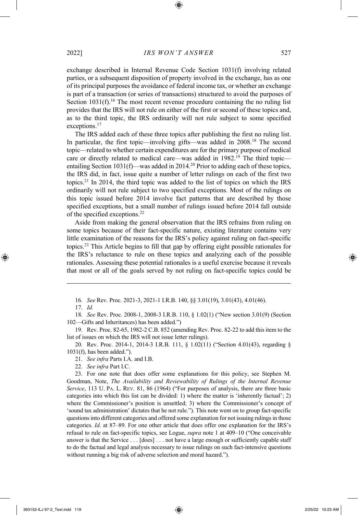exchange described in Internal Revenue Code Section 1031(f) involving related parties, or a subsequent disposition of property involved in the exchange, has as one of its principal purposes the avoidance of federal income tax, or whether an exchange is part of a transaction (or series of transactions) structured to avoid the purposes of Section  $1031(f)$ .<sup>16</sup> The most recent revenue procedure containing the no ruling list provides that the IRS will not rule on either of the first or second of these topics and, as to the third topic, the IRS ordinarily will not rule subject to some specified exceptions.<sup>17</sup>

The IRS added each of these three topics after publishing the first no ruling list. In particular, the first topic—involving gifts—was added in 2008.<sup>18</sup> The second topic—related to whether certain expenditures are for the primary purpose of medical care or directly related to medical care—was added in 1982.<sup>19</sup> The third topic entailing Section 1031(f)—was added in 2014.<sup>20</sup> Prior to adding each of these topics, the IRS did, in fact, issue quite a number of letter rulings on each of the first two topics.<sup>21</sup> In 2014, the third topic was added to the list of topics on which the IRS ordinarily will not rule subject to two specified exceptions. Most of the rulings on this topic issued before 2014 involve fact patterns that are described by those specified exceptions, but a small number of rulings issued before 2014 fall outside of the specified exceptions.<sup>22</sup>

Aside from making the general observation that the IRS refrains from ruling on some topics because of their fact-specific nature, existing literature contains very little examination of the reasons for the IRS's policy against ruling on fact-specific topics.<sup>23</sup> This Article begins to fill that gap by offering eight possible rationales for the IRS's reluctance to rule on these topics and analyzing each of the possible rationales. Assessing these potential rationales is a useful exercise because it reveals that most or all of the goals served by not ruling on fact-specific topics could be

16. *See* Rev. Proc. 2021-3, 2021-1 I.R.B. 140, §§ 3.01(19), 3.01(43), 4.01(46).

18. *See* Rev. Proc. 2008-1, 2008-3 I.R.B. 110, § 1.02(1) ("New section 3.01(9) (Section 102—Gifts and Inheritances) has been added.")

19. Rev. Proc. 82-65, 1982-2 C.B. 852 (amending Rev. Proc. 82-22 to add this item to the list of issues on which the IRS will not issue letter rulings).

20. Rev. Proc. 2014-1, 2014-3 I.R.B. 111, § 1.02(11) ("Section 4.01(43), regarding § 1031(f), has been added.").

21. *See infra* Parts I.A. and I.B.

22. *See infra* Part I.C.

23. For one note that does offer some explanations for this policy, see Stephen M. Goodman, Note, *The Availability and Reviewability of Rulings of the Internal Revenue Service*, 113 U. PA. L. REV. 81, 86 (1964) ("For purposes of analysis, there are three basic categories into which this list can be divided: 1) where the matter is 'inherently factual'; 2) where the Commissioner's position is unsettled; 3) where the Commissioner's concept of 'sound tax administration' dictates that he not rule."). This note went on to group fact-specific questions into different categories and offered some explanation for not issuing rulings in those categories. *Id*. at 87–89. For one other article that does offer one explanation for the IRS's refusal to rule on fact-specific topics, see Logue, *supra* note 1 at 409–10 ("One conceivable answer is that the Service . . . [does] . . . not have a large enough or sufficiently capable staff to do the factual and legal analysis necessary to issue rulings on such fact-intensive questions without running a big risk of adverse selection and moral hazard.").

<sup>17.</sup> *Id.*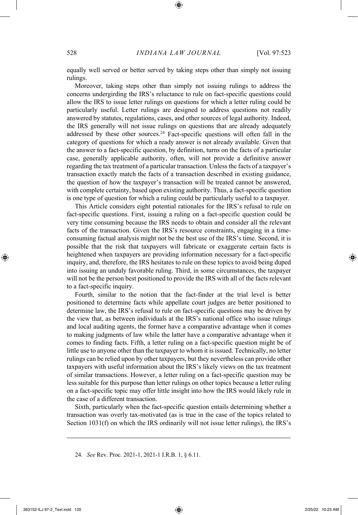equally well served or better served by taking steps other than simply not issuing rulings.

Moreover, taking steps other than simply not issuing rulings to address the concerns undergirding the IRS's reluctance to rule on fact-specific questions could allow the IRS to issue letter rulings on questions for which a letter ruling could be particularly useful. Letter rulings are designed to address questions not readily answered by statutes, regulations, cases, and other sources of legal authority. Indeed, the IRS generally will not issue rulings on questions that are already adequately addressed by these other sources.<sup>24</sup> Fact-specific questions will often fall in the category of questions for which a ready answer is not already available. Given that the answer to a fact-specific question, by definition, turns on the facts of a particular case, generally applicable authority, often, will not provide a definitive answer regarding the tax treatment of a particular transaction. Unless the facts of a taxpayer's transaction exactly match the facts of a transaction described in existing guidance, the question of how the taxpayer's transaction will be treated cannot be answered, with complete certainty, based upon existing authority. Thus, a fact-specific question is one type of question for which a ruling could be particularly useful to a taxpayer.

This Article considers eight potential rationales for the IRS's refusal to rule on fact-specific questions. First, issuing a ruling on a fact-specific question could be very time consuming because the IRS needs to obtain and consider all the relevant facts of the transaction. Given the IRS's resource constraints, engaging in a timeconsuming factual analysis might not be the best use of the IRS's time. Second, it is possible that the risk that taxpayers will fabricate or exaggerate certain facts is heightened when taxpayers are providing information necessary for a fact-specific inquiry, and, therefore, the IRS hesitates to rule on these topics to avoid being duped into issuing an unduly favorable ruling. Third, in some circumstances, the taxpayer will not be the person best positioned to provide the IRS with all of the facts relevant to a fact-specific inquiry.

Fourth, similar to the notion that the fact-finder at the trial level is better positioned to determine facts while appellate court judges are better positioned to determine law, the IRS's refusal to rule on fact-specific questions may be driven by the view that, as between individuals at the IRS's national office who issue rulings and local auditing agents, the former have a comparative advantage when it comes to making judgments of law while the latter have a comparative advantage when it comes to finding facts. Fifth, a letter ruling on a fact-specific question might be of little use to anyone other than the taxpayer to whom it is issued. Technically, no letter rulings can be relied upon by other taxpayers, but they nevertheless can provide other taxpayers with useful information about the IRS's likely views on the tax treatment of similar transactions. However, a letter ruling on a fact-specific question may be less suitable for this purpose than letter rulings on other topics because a letter ruling on a fact-specific topic may offer little insight into how the IRS would likely rule in the case of a different transaction.

Sixth, particularly when the fact-specific question entails determining whether a transaction was overly tax-motivated (as is true in the case of the topics related to Section 1031(f) on which the IRS ordinarily will not issue letter rulings), the IRS's

<sup>24.</sup> *See* Rev. Proc. 2021-1, 2021-1 I.R.B. 1, § 6.11.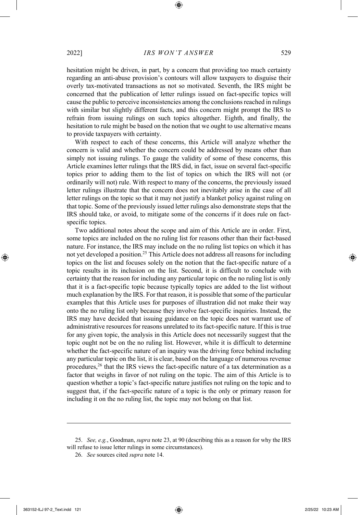hesitation might be driven, in part, by a concern that providing too much certainty regarding an anti-abuse provision's contours will allow taxpayers to disguise their overly tax-motivated transactions as not so motivated. Seventh, the IRS might be concerned that the publication of letter rulings issued on fact-specific topics will cause the public to perceive inconsistencies among the conclusions reached in rulings with similar but slightly different facts, and this concern might prompt the IRS to refrain from issuing rulings on such topics altogether. Eighth, and finally, the hesitation to rule might be based on the notion that we ought to use alternative means to provide taxpayers with certainty.

With respect to each of these concerns, this Article will analyze whether the concern is valid and whether the concern could be addressed by means other than simply not issuing rulings. To gauge the validity of some of these concerns, this Article examines letter rulings that the IRS did, in fact, issue on several fact-specific topics prior to adding them to the list of topics on which the IRS will not (or ordinarily will not) rule. With respect to many of the concerns, the previously issued letter rulings illustrate that the concern does not inevitably arise in the case of all letter rulings on the topic so that it may not justify a blanket policy against ruling on that topic. Some of the previously issued letter rulings also demonstrate steps that the IRS should take, or avoid, to mitigate some of the concerns if it does rule on factspecific topics.

Two additional notes about the scope and aim of this Article are in order. First, some topics are included on the no ruling list for reasons other than their fact-based nature. For instance, the IRS may include on the no ruling list topics on which it has not yet developed a position.<sup>25</sup> This Article does not address all reasons for including topics on the list and focuses solely on the notion that the fact-specific nature of a topic results in its inclusion on the list. Second, it is difficult to conclude with certainty that the reason for including any particular topic on the no ruling list is only that it is a fact-specific topic because typically topics are added to the list without much explanation by the IRS. For that reason, it is possible that some of the particular examples that this Article uses for purposes of illustration did not make their way onto the no ruling list only because they involve fact-specific inquiries. Instead, the IRS may have decided that issuing guidance on the topic does not warrant use of administrative resources for reasons unrelated to its fact-specific nature. If this is true for any given topic, the analysis in this Article does not necessarily suggest that the topic ought not be on the no ruling list. However, while it is difficult to determine whether the fact-specific nature of an inquiry was the driving force behind including any particular topic on the list, it is clear, based on the language of numerous revenue procedures,<sup>26</sup> that the IRS views the fact-specific nature of a tax determination as a factor that weighs in favor of not ruling on the topic. The aim of this Article is to question whether a topic's fact-specific nature justifies not ruling on the topic and to suggest that, if the fact-specific nature of a topic is the only or primary reason for including it on the no ruling list, the topic may not belong on that list.

<sup>25.</sup> *See, e.g.*, Goodman, *supra* note 23, at 90 (describing this as a reason for why the IRS will refuse to issue letter rulings in some circumstances).

<sup>26.</sup> *See* sources cited *supra* note 14.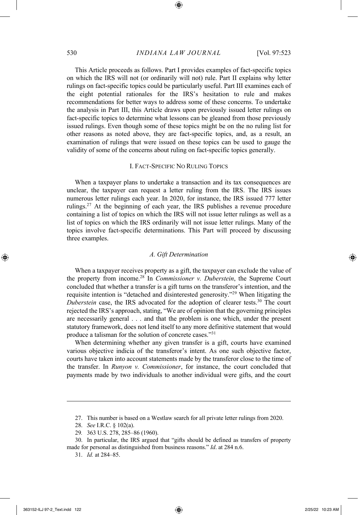This Article proceeds as follows. Part I provides examples of fact-specific topics on which the IRS will not (or ordinarily will not) rule. Part II explains why letter rulings on fact-specific topics could be particularly useful. Part III examines each of the eight potential rationales for the IRS's hesitation to rule and makes recommendations for better ways to address some of these concerns. To undertake the analysis in Part III, this Article draws upon previously issued letter rulings on fact-specific topics to determine what lessons can be gleaned from those previously issued rulings. Even though some of these topics might be on the no ruling list for other reasons as noted above, they are fact-specific topics, and, as a result, an examination of rulings that were issued on these topics can be used to gauge the validity of some of the concerns about ruling on fact-specific topics generally.

#### I. FACT-SPECIFIC NO RULING TOPICS

When a taxpayer plans to undertake a transaction and its tax consequences are unclear, the taxpayer can request a letter ruling from the IRS. The IRS issues numerous letter rulings each year. In 2020, for instance, the IRS issued 777 letter rulings.<sup>27</sup> At the beginning of each year, the IRS publishes a revenue procedure containing a list of topics on which the IRS will not issue letter rulings as well as a list of topics on which the IRS ordinarily will not issue letter rulings. Many of the topics involve fact-specific determinations. This Part will proceed by discussing three examples.

#### *A. Gift Determination*

When a taxpayer receives property as a gift, the taxpayer can exclude the value of the property from income.<sup>28</sup> In *Commissioner v. Duberstein*, the Supreme Court concluded that whether a transfer is a gift turns on the transferor's intention, and the requisite intention is "detached and disinterested generosity."<sup>29</sup> When litigating the *Duberstein* case, the IRS advocated for the adoption of clearer tests.<sup>30</sup> The court rejected the IRS's approach, stating, "We are of opinion that the governing principles are necessarily general . . . and that the problem is one which, under the present statutory framework, does not lend itself to any more definitive statement that would produce a talisman for the solution of concrete cases."<sup>31</sup>

When determining whether any given transfer is a gift, courts have examined various objective indicia of the transferor's intent. As one such objective factor, courts have taken into account statements made by the transferor close to the time of the transfer. In *Runyon v. Commissioner*, for instance, the court concluded that payments made by two individuals to another individual were gifts, and the court

<sup>27.</sup> This number is based on a Westlaw search for all private letter rulings from 2020.

<sup>28.</sup> *See* I.R.C. § 102(a).

<sup>29</sup>*.* 363 U.S. 278, 285–86 (1960).

<sup>30.</sup> In particular, the IRS argued that "gifts should be defined as transfers of property made for personal as distinguished from business reasons." *Id*. at 284 n.6.

<sup>31.</sup> *Id.* at 284–85.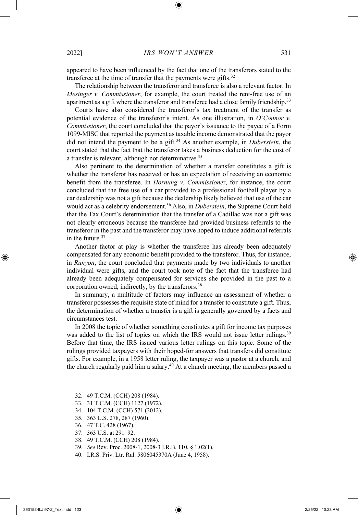appeared to have been influenced by the fact that one of the transferors stated to the transferee at the time of transfer that the payments were gifts.<sup>32</sup>

The relationship between the transferor and transferee is also a relevant factor. In *Mesinger v. Commissioner*, for example, the court treated the rent-free use of an apartment as a gift where the transferor and transferee had a close family friendship.<sup>33</sup>

Courts have also considered the transferor's tax treatment of the transfer as potential evidence of the transferor's intent. As one illustration, in *O'Connor v. Commissioner*, the court concluded that the payor's issuance to the payee of a Form 1099-MISC that reported the payment as taxable income demonstrated that the payor did not intend the payment to be a gift. <sup>34</sup> As another example, in *Duberstein*, the court stated that the fact that the transferor takes a business deduction for the cost of a transfer is relevant, although not determinative.<sup>35</sup>

Also pertinent to the determination of whether a transfer constitutes a gift is whether the transferor has received or has an expectation of receiving an economic benefit from the transferee. In *Hornung v. Commissione*r, for instance, the court concluded that the free use of a car provided to a professional football player by a car dealership was not a gift because the dealership likely believed that use of the car would act as a celebrity endorsement.<sup>36</sup> Also, in *Duberstein*, the Supreme Court held that the Tax Court's determination that the transfer of a Cadillac was not a gift was not clearly erroneous because the transferee had provided business referrals to the transferor in the past and the transferor may have hoped to induce additional referrals in the future.<sup>37</sup>

Another factor at play is whether the transferee has already been adequately compensated for any economic benefit provided to the transferor. Thus, for instance, in *Runyon*, the court concluded that payments made by two individuals to another individual were gifts, and the court took note of the fact that the transferee had already been adequately compensated for services she provided in the past to a corporation owned, indirectly, by the transferors.<sup>38</sup>

In summary, a multitude of factors may influence an assessment of whether a transferor possesses the requisite state of mind for a transfer to constitute a gift. Thus, the determination of whether a transfer is a gift is generally governed by a facts and circumstances test.

In 2008 the topic of whether something constitutes a gift for income tax purposes was added to the list of topics on which the IRS would not issue letter rulings.<sup>39</sup> Before that time, the IRS issued various letter rulings on this topic. Some of the rulings provided taxpayers with their hoped-for answers that transfers did constitute gifts. For example, in a 1958 letter ruling, the taxpayer was a pastor at a church, and the church regularly paid him a salary.<sup>40</sup> At a church meeting, the members passed a

- 32. 49 T.C.M. (CCH) 208 (1984).
- 33. 31 T.C.M. (CCH) 1127 (1972).
- 34. 104 T.C.M. (CCH) 571 (2012).
- 35. 363 U.S. 278, 287 (1960).
- 36. 47 T.C. 428 (1967).
- 37. 363 U.S. at 291–92.
- 38. 49 T.C.M. (CCH) 208 (1984).
- 39. *See* Rev. Proc. 2008-1, 2008-3 I.R.B. 110, § 1.02(1).
- 40. I.R.S. Priv. Ltr. Rul. 5806045370A (June 4, 1958).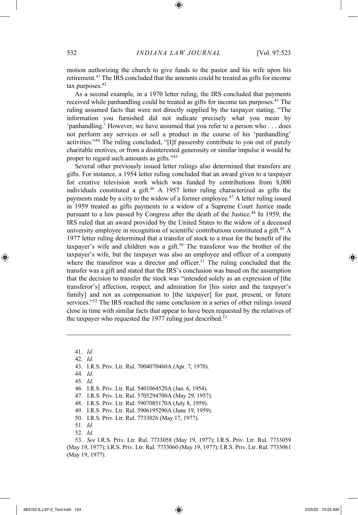motion authorizing the church to give funds to the pastor and his wife upon his retirement.<sup>41</sup> The IRS concluded that the amounts could be treated as gifts for income tax purposes.<sup>42</sup>

As a second example, in a 1970 letter ruling, the IRS concluded that payments received while panhandling could be treated as gifts for income tax purposes.<sup>43</sup> The ruling assumed facts that were not directly supplied by the taxpayer stating, "The information you furnished did not indicate precisely what you mean by 'panhandling.' However, we have assumed that you refer to a person who . . . does not perform any services or sell a product in the course of his 'panhandling' activities."<sup>44</sup> The ruling concluded, "[I]f passersby contribute to you out of purely charitable motives, or from a disinterested generosity or similar impulse it would be proper to regard such amounts as gifts."<sup>45</sup>

Several other previously issued letter rulings also determined that transfers are gifts. For instance, a 1954 letter ruling concluded that an award given to a taxpayer for creative television work which was funded by contributions from 8,000 individuals constituted a gift.<sup>46</sup> A 1957 letter ruling characterized as gifts the payments made by a city to the widow of a former employee.<sup>47</sup> A letter ruling issued in 1959 treated as gifts payments to a widow of a Supreme Court Justice made pursuant to a law passed by Congress after the death of the Justice.<sup>48</sup> In 1959, the IRS ruled that an award provided by the United States to the widow of a deceased university employee in recognition of scientific contributions constituted a gift.<sup>49</sup> A 1977 letter ruling determined that a transfer of stock to a trust for the benefit of the taxpayer's wife and children was a gift.<sup>50</sup> The transferor was the brother of the taxpayer's wife, but the taxpayer was also an employee and officer of a company where the transferor was a director and officer.<sup>51</sup> The ruling concluded that the transfer was a gift and stated that the IRS's conclusion was based on the assumption that the decision to transfer the stock was "intended solely as an expression of [the transferor's] affection, respect, and admiration for [his sister and the taxpayer's family] and not as compensation to [the taxpayer] for past, present, or future services."<sup>52</sup> The IRS reached the same conclusion in a series of other rulings issued close in time with similar facts that appear to have been requested by the relatives of the taxpayer who requested the  $1977$  ruling just described.<sup>53</sup>

41. *Id.* 42. *Id.* 43. I.R.S. Priv. Ltr. Rul. 7004070460A (Apr. 7, 1970). 44. *Id.* 45. *Id.* 46. I.R.S. Priv. Ltr. Rul. 5401064520A (Jan. 6, 1954). 47. I.R.S. Priv. Ltr. Rul. 5705294700A (May 29, 1957). 48. I.R.S. Priv. Ltr. Rul. 5907085170A (July 8, 1959).

49. I.R.S. Priv. Ltr. Rul. 5906195290A (June 19, 1959).

- 50. I.R.S. Priv. Ltr. Rul. 7733026 (May 17, 1977).
- 51. *Id.*
- 52. *Id.*

53. *See* I.R.S. Priv. Ltr. Rul. 7733058 (May 19, 1977); I.R.S. Priv. Ltr. Rul. 7733059 (May 19, 1977); I.R.S. Priv. Ltr. Rul. 7733060 (May 19, 1977); I.R.S. Priv. Ltr. Rul. 7733061 (May 19, 1977).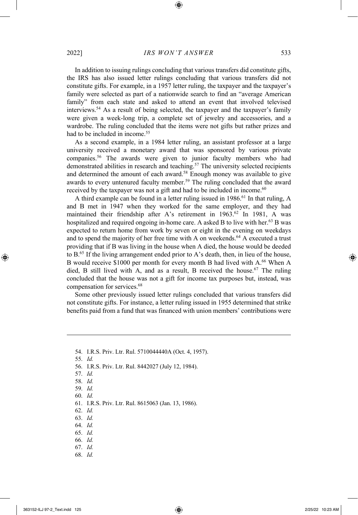In addition to issuing rulings concluding that various transfers did constitute gifts, the IRS has also issued letter rulings concluding that various transfers did not constitute gifts. For example, in a 1957 letter ruling, the taxpayer and the taxpayer's family were selected as part of a nationwide search to find an "average American family" from each state and asked to attend an event that involved televised interviews.<sup>54</sup> As a result of being selected, the taxpayer and the taxpayer's family were given a week-long trip, a complete set of jewelry and accessories, and a wardrobe. The ruling concluded that the items were not gifts but rather prizes and had to be included in income.<sup>55</sup>

As a second example, in a 1984 letter ruling, an assistant professor at a large university received a monetary award that was sponsored by various private companies.<sup>56</sup> The awards were given to junior faculty members who had demonstrated abilities in research and teaching.<sup>57</sup> The university selected recipients and determined the amount of each award.<sup>58</sup> Enough money was available to give awards to every untenured faculty member.<sup>59</sup> The ruling concluded that the award received by the taxpayer was not a gift and had to be included in income.<sup>60</sup>

A third example can be found in a letter ruling issued in 1986.<sup>61</sup> In that ruling, A and B met in 1947 when they worked for the same employer, and they had maintained their friendship after A's retirement in 1963.<sup>62</sup> In 1981, A was hospitalized and required ongoing in-home care. A asked B to live with her.<sup>63</sup> B was expected to return home from work by seven or eight in the evening on weekdays and to spend the majority of her free time with A on weekends.<sup>64</sup> A executed a trust providing that if B was living in the house when A died, the house would be deeded to B.<sup>65</sup> If the living arrangement ended prior to A's death, then, in lieu of the house, B would receive \$1000 per month for every month B had lived with A.<sup>66</sup> When A died, B still lived with A, and as a result, B received the house.<sup>67</sup> The ruling concluded that the house was not a gift for income tax purposes but, instead, was compensation for services.<sup>68</sup>

Some other previously issued letter rulings concluded that various transfers did not constitute gifts. For instance, a letter ruling issued in 1955 determined that strike benefits paid from a fund that was financed with union members' contributions were

- 54. I.R.S. Priv. Ltr. Rul. 5710044440A (Oct. 4, 1957).
- 55. *Id.*
- 56. I.R.S. Priv. Ltr. Rul. 8442027 (July 12, 1984).
- 57. *Id.*
- 58. *Id.*
- 59. *Id.*
- 60. *Id.*
- 61. I.R.S. Priv. Ltr. Rul. 8615063 (Jan. 13, 1986).
- 62. *Id.*
- 63. *Id.*
- 64. *Id.*
- 65. *Id.*
- 66. *Id.*
- 67. *Id.*
- 68. *Id.*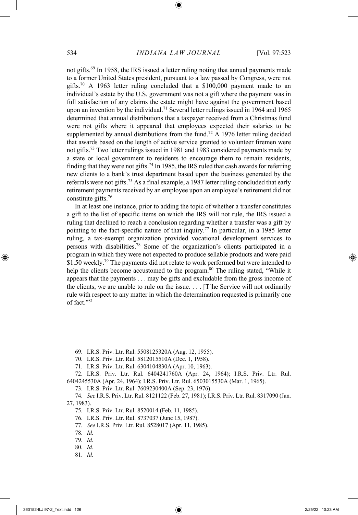not gifts. <sup>69</sup> In 1958, the IRS issued a letter ruling noting that annual payments made to a former United States president, pursuant to a law passed by Congress, were not gifts.<sup>70</sup> A 1963 letter ruling concluded that a \$100,000 payment made to an individual's estate by the U.S. government was not a gift where the payment was in full satisfaction of any claims the estate might have against the government based upon an invention by the individual.<sup>71</sup> Several letter rulings issued in 1964 and 1965 determined that annual distributions that a taxpayer received from a Christmas fund were not gifts where it appeared that employees expected their salaries to be supplemented by annual distributions from the fund.<sup>72</sup> A 1976 letter ruling decided that awards based on the length of active service granted to volunteer firemen were not gifts.<sup>73</sup> Two letter rulings issued in 1981 and 1983 considered payments made by a state or local government to residents to encourage them to remain residents, finding that they were not gifts. <sup>74</sup> In 1985, the IRS ruled that cash awards for referring new clients to a bank's trust department based upon the business generated by the referrals were not gifts.<sup>75</sup> As a final example, a 1987 letter ruling concluded that early retirement payments received by an employee upon an employee's retirement did not constitute gifts.<sup>76</sup>

In at least one instance, prior to adding the topic of whether a transfer constitutes a gift to the list of specific items on which the IRS will not rule, the IRS issued a ruling that declined to reach a conclusion regarding whether a transfer was a gift by pointing to the fact-specific nature of that inquiry.<sup>77</sup> In particular, in a 1985 letter ruling, a tax-exempt organization provided vocational development services to persons with disabilities.<sup>78</sup> Some of the organization's clients participated in a program in which they were not expected to produce sellable products and were paid \$1.50 weekly.<sup>79</sup> The payments did not relate to work performed but were intended to help the clients become accustomed to the program.<sup>80</sup> The ruling stated, "While it appears that the payments . . . may be gifts and excludable from the gross income of the clients, we are unable to rule on the issue. . . . [T]he Service will not ordinarily rule with respect to any matter in which the determination requested is primarily one of fact."<sup>81</sup>

- 75. I.R.S. Priv. Ltr. Rul. 8520014 (Feb. 11, 1985).
- 76. I.R.S. Priv. Ltr. Rul. 8737037 (June 15, 1987).
- 77. *See* I.R.S. Priv. Ltr. Rul. 8528017 (Apr. 11, 1985).
- 78. *Id.*
- 79. *Id.*
- 80. *Id.*
- 81. *Id.*

<sup>69.</sup> I.R.S. Priv. Ltr. Rul. 5508125320A (Aug. 12, 1955).

<sup>70.</sup> I.R.S. Priv. Ltr. Rul. 5812015510A (Dec. 1, 1958).

<sup>71.</sup> I.R.S. Priv. Ltr. Rul. 6304104830A (Apr. 10, 1963).

<sup>72.</sup> I.R.S. Priv. Ltr. Rul. 6404241760A (Apr. 24, 1964); I.R.S. Priv. Ltr. Rul. 6404245530A (Apr. 24, 1964); I.R.S. Priv. Ltr. Rul. 6503015530A (Mar. 1, 1965).

<sup>73.</sup> I.R.S. Priv. Ltr. Rul. 7609230400A (Sep. 23, 1976).

<sup>74.</sup> *See* I.R.S. Priv. Ltr. Rul. 8121122 (Feb. 27, 1981); I.R.S. Priv. Ltr. Rul. 8317090 (Jan. 27, 1983).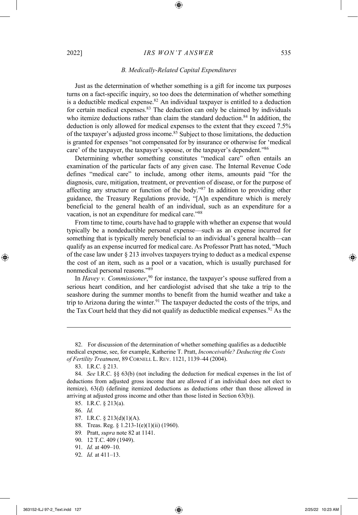### *B. Medically-Related Capital Expenditures*

Just as the determination of whether something is a gift for income tax purposes turns on a fact-specific inquiry, so too does the determination of whether something is a deductible medical expense. $82$  An individual taxpayer is entitled to a deduction for certain medical expenses. $83$  The deduction can only be claimed by individuals who itemize deductions rather than claim the standard deduction.<sup>84</sup> In addition, the deduction is only allowed for medical expenses to the extent that they exceed 7.5% of the taxpayer's adjusted gross income.<sup>85</sup> Subject to those limitations, the deduction is granted for expenses "not compensated for by insurance or otherwise for 'medical care' of the taxpayer, the taxpayer's spouse, or the taxpayer's dependent."<sup>86</sup>

Determining whether something constitutes "medical care" often entails an examination of the particular facts of any given case. The Internal Revenue Code defines "medical care" to include, among other items, amounts paid "for the diagnosis, cure, mitigation, treatment, or prevention of disease, or for the purpose of affecting any structure or function of the body."<sup>87</sup> In addition to providing other guidance, the Treasury Regulations provide, "[A]n expenditure which is merely beneficial to the general health of an individual, such as an expenditure for a vacation, is not an expenditure for medical care."<sup>88</sup>

From time to time, courts have had to grapple with whether an expense that would typically be a nondeductible personal expense—such as an expense incurred for something that is typically merely beneficial to an individual's general health—can qualify as an expense incurred for medical care. As Professor Pratt has noted, "Much of the case law under § 213 involves taxpayers trying to deduct as a medical expense the cost of an item, such as a pool or a vacation, which is usually purchased for nonmedical personal reasons."<sup>89</sup>

In *Havey v. Commissioner*, <sup>90</sup> for instance, the taxpayer's spouse suffered from a serious heart condition, and her cardiologist advised that she take a trip to the seashore during the summer months to benefit from the humid weather and take a trip to Arizona during the winter.<sup>91</sup> The taxpayer deducted the costs of the trips, and the Tax Court held that they did not qualify as deductible medical expenses.<sup>92</sup> As the

- 87. I.R.C. § 213(d)(1)(A).
- 88. Treas. Reg. § 1.213-1(e)(1)(ii) (1960).
- 89*.* Pratt, *supra* note 82 at 1141.
- 90. 12 T.C. 409 (1949).
- 91. *Id.* at 409–10.
- 92. *Id.* at 411–13.

<sup>82.</sup> For discussion of the determination of whether something qualifies as a deductible medical expense, see, for example, Katherine T. Pratt, *Inconceivable? Deducting the Costs of Fertility Treatment*, 89 CORNELL L. REV. 1121, 1139–44 (2004).

<sup>83.</sup> I.R.C. § 213.

<sup>84.</sup> *See* I.R.C. §§ 63(b) (not including the deduction for medical expenses in the list of deductions from adjusted gross income that are allowed if an individual does not elect to itemize), 63(d) (defining itemized deductions as deductions other than those allowed in arriving at adjusted gross income and other than those listed in Section 63(b)).

<sup>85.</sup> I.R.C. § 213(a).

<sup>86.</sup> *Id.*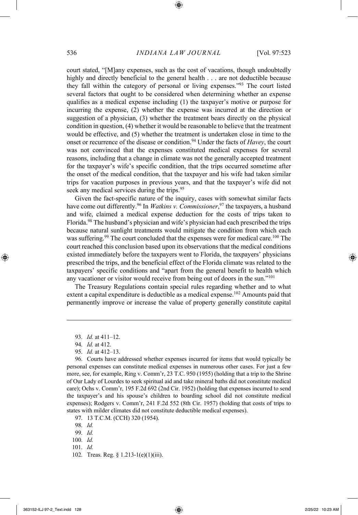court stated, "[M]any expenses, such as the cost of vacations, though undoubtedly highly and directly beneficial to the general health . . . are not deductible because they fall within the category of personal or living expenses."<sup>93</sup> The court listed several factors that ought to be considered when determining whether an expense qualifies as a medical expense including (1) the taxpayer's motive or purpose for incurring the expense, (2) whether the expense was incurred at the direction or suggestion of a physician, (3) whether the treatment bears directly on the physical condition in question, (4) whether it would be reasonable to believe that the treatment would be effective, and (5) whether the treatment is undertaken close in time to the onset or recurrence of the disease or condition.<sup>94</sup> Under the facts of *Havey*, the court was not convinced that the expenses constituted medical expenses for several reasons, including that a change in climate was not the generally accepted treatment for the taxpayer's wife's specific condition, that the trips occurred sometime after the onset of the medical condition, that the taxpayer and his wife had taken similar trips for vacation purposes in previous years, and that the taxpayer's wife did not seek any medical services during the trips.<sup>95</sup>

Given the fact-specific nature of the inquiry, cases with somewhat similar facts have come out differently.<sup>96</sup> In *Watkins v. Commissioner*, <sup>97</sup> the taxpayers, a husband and wife, claimed a medical expense deduction for the costs of trips taken to Florida.<sup>98</sup> The husband's physician and wife's physician had each prescribed the trips because natural sunlight treatments would mitigate the condition from which each was suffering.<sup>99</sup> The court concluded that the expenses were for medical care.<sup>100</sup> The court reached this conclusion based upon its observations that the medical conditions existed immediately before the taxpayers went to Florida, the taxpayers' physicians prescribed the trips, and the beneficial effect of the Florida climate was related to the taxpayers' specific conditions and "apart from the general benefit to health which any vacationer or visitor would receive from being out of doors in the sun."<sup>101</sup>

The Treasury Regulations contain special rules regarding whether and to what extent a capital expenditure is deductible as a medical expense.<sup>102</sup> Amounts paid that permanently improve or increase the value of property generally constitute capital

- 99. *Id.*
- 100. *Id.*
- 101. *Id.*
- 102. Treas. Reg. § 1.213-1(e)(1)(iii).

<sup>93.</sup> *Id.* at 411–12.

<sup>94.</sup> *Id.* at 412.

<sup>95.</sup> *Id.* at 412–13.

<sup>96.</sup> Courts have addressed whether expenses incurred for items that would typically be personal expenses can constitute medical expenses in numerous other cases. For just a few more, see, for example, Ring v. Comm'r, 23 T.C. 950 (1955) (holding that a trip to the Shrine of Our Lady of Lourdes to seek spiritual aid and take mineral baths did not constitute medical care); Ochs v. Comm'r, 195 F.2d 692 (2nd Cir. 1952) (holding that expenses incurred to send the taxpayer's and his spouse's children to boarding school did not constitute medical expenses); Rodgers v. Comm'r, 241 F.2d 552 (8th Cir. 1957) (holding that costs of trips to states with milder climates did not constitute deductible medical expenses).

<sup>97.</sup> 13 T.C.M. (CCH) 320 (1954).

<sup>98.</sup> *Id.*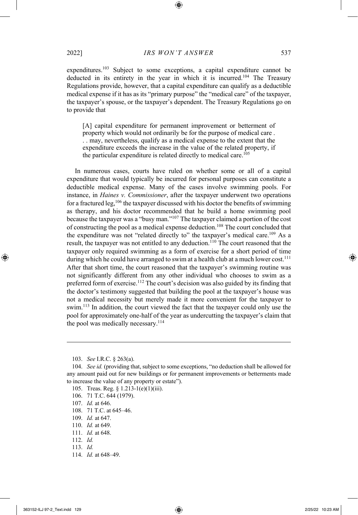expenditures.<sup>103</sup> Subject to some exceptions, a capital expenditure cannot be deducted in its entirety in the year in which it is incurred.<sup>104</sup> The Treasury Regulations provide, however, that a capital expenditure can qualify as a deductible medical expense if it has as its "primary purpose" the "medical care" of the taxpayer, the taxpayer's spouse, or the taxpayer's dependent. The Treasury Regulations go on to provide that

[A] capital expenditure for permanent improvement or betterment of property which would not ordinarily be for the purpose of medical care . . . may, nevertheless, qualify as a medical expense to the extent that the expenditure exceeds the increase in the value of the related property, if the particular expenditure is related directly to medical care.<sup>105</sup>

In numerous cases, courts have ruled on whether some or all of a capital expenditure that would typically be incurred for personal purposes can constitute a deductible medical expense. Many of the cases involve swimming pools. For instance, in *Haines v. Commissioner*, after the taxpayer underwent two operations for a fractured leg, <sup>106</sup> the taxpayer discussed with his doctor the benefits of swimming as therapy, and his doctor recommended that he build a home swimming pool because the taxpayer was a "busy man."<sup>107</sup> The taxpayer claimed a portion of the cost of constructing the pool as a medical expense deduction.<sup>108</sup> The court concluded that the expenditure was not "related directly to" the taxpayer's medical care.<sup>109</sup> As a result, the taxpayer was not entitled to any deduction.<sup>110</sup> The court reasoned that the taxpayer only required swimming as a form of exercise for a short period of time during which he could have arranged to swim at a health club at a much lower cost.<sup>111</sup> After that short time, the court reasoned that the taxpayer's swimming routine was not significantly different from any other individual who chooses to swim as a preferred form of exercise.<sup>112</sup> The court's decision was also guided by its finding that the doctor's testimony suggested that building the pool at the taxpayer's house was not a medical necessity but merely made it more convenient for the taxpayer to swim.<sup>113</sup> In addition, the court viewed the fact that the taxpayer could only use the pool for approximately one-half of the year as undercutting the taxpayer's claim that the pool was medically necessary.<sup>114</sup>

- 108. 71 T.C. at 645–46.
- 109. *Id.* at 647.
- 110. *Id.* at 649.
- 111. *Id.* at 648.
- 112. *Id.*
- 113. *Id.*
- 114. *Id.* at 648–49.

<sup>103.</sup> *See* I.R.C. § 263(a).

<sup>104.</sup> *See id.* (providing that, subject to some exceptions, "no deduction shall be allowed for any amount paid out for new buildings or for permanent improvements or betterments made to increase the value of any property or estate").

<sup>105.</sup> Treas. Reg. § 1.213-1(e)(1)(iii).

<sup>106.</sup> 71 T.C. 644 (1979).

<sup>107.</sup> *Id.* at 646.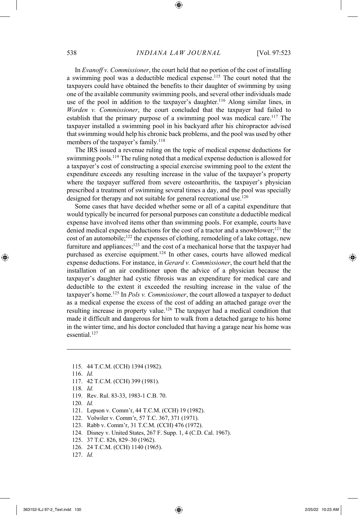In *Evanoff v. Commissioner*, the court held that no portion of the cost of installing a swimming pool was a deductible medical expense.<sup>115</sup> The court noted that the taxpayers could have obtained the benefits to their daughter of swimming by using one of the available community swimming pools, and several other individuals made use of the pool in addition to the taxpayer's daughter. <sup>116</sup> Along similar lines, in *Worden v. Commissioner*, the court concluded that the taxpayer had failed to establish that the primary purpose of a swimming pool was medical care.<sup>117</sup> The taxpayer installed a swimming pool in his backyard after his chiropractor advised that swimming would help his chronic back problems, and the pool was used by other members of the taxpayer's family.<sup>118</sup>

The IRS issued a revenue ruling on the topic of medical expense deductions for swimming pools.<sup>119</sup> The ruling noted that a medical expense deduction is allowed for a taxpayer's cost of constructing a special exercise swimming pool to the extent the expenditure exceeds any resulting increase in the value of the taxpayer's property where the taxpayer suffered from severe osteoarthritis, the taxpayer's physician prescribed a treatment of swimming several times a day, and the pool was specially designed for therapy and not suitable for general recreational use.<sup>120</sup>

Some cases that have decided whether some or all of a capital expenditure that would typically be incurred for personal purposes can constitute a deductible medical expense have involved items other than swimming pools. For example, courts have denied medical expense deductions for the cost of a tractor and a snowblower; <sup>121</sup> the cost of an automobile;<sup>122</sup> the expenses of clothing, remodeling of a lake cottage, new furniture and appliances;<sup>123</sup> and the cost of a mechanical horse that the taxpayer had purchased as exercise equipment.<sup>124</sup> In other cases, courts have allowed medical expense deductions. For instance, in *Gerard v. Commissioner*, the court held that the installation of an air conditioner upon the advice of a physician because the taxpayer's daughter had cystic fibrosis was an expenditure for medical care and deductible to the extent it exceeded the resulting increase in the value of the taxpayer's home. <sup>125</sup> In *Pols v. Commissioner*, the court allowed a taxpayer to deduct as a medical expense the excess of the cost of adding an attached garage over the resulting increase in property value.<sup>126</sup> The taxpayer had a medical condition that made it difficult and dangerous for him to walk from a detached garage to his home in the winter time, and his doctor concluded that having a garage near his home was essential. 127

- 115. 44 T.C.M. (CCH) 1394 (1982).
- 116. *Id.*
- 117. 42 T.C.M. (CCH) 399 (1981).
- 118. *Id.*
- 119. Rev. Rul. 83-33, 1983-1 C.B. 70.
- 120. *Id.*
- 121. Lepson v. Comm'r, 44 T.C.M. (CCH) 19 (1982).
- 122. Volwiler v. Comm'r, 57 T.C. 367, 371 (1971).
- 123. Rabb v. Comm'r, 31 T.C.M. (CCH) 476 (1972).
- 124. Disney v. United States, 267 F. Supp. 1, 4 (C.D. Cal. 1967).
- 125. 37 T.C. 826, 829–30 (1962).
- 126. 24 T.C.M. (CCH) 1140 (1965).
- 127. *Id.*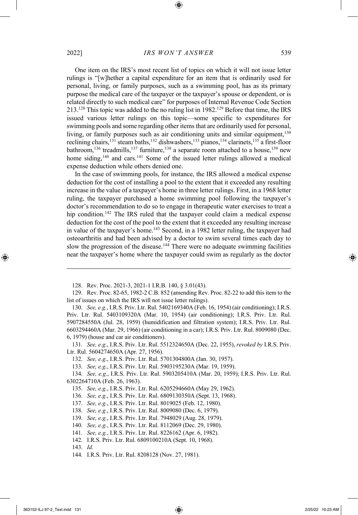One item on the IRS's most recent list of topics on which it will not issue letter rulings is "[w]hether a capital expenditure for an item that is ordinarily used for personal, living, or family purposes, such as a swimming pool, has as its primary purpose the medical care of the taxpayer or the taxpayer's spouse or dependent, or is related directly to such medical care" for purposes of Internal Revenue Code Section 213.<sup>128</sup> This topic was added to the no ruling list in 1982.<sup>129</sup> Before that time, the IRS issued various letter rulings on this topic—some specific to expenditures for swimming pools and some regarding other items that are ordinarily used for personal, living, or family purposes such as air conditioning units and similar equipment,  $130$ reclining chairs,<sup>131</sup> steam baths,<sup>132</sup> dishwashers,<sup>133</sup> pianos,<sup>134</sup> clarinets,<sup>135</sup> a first-floor bathroom,<sup>136</sup> treadmills,<sup>137</sup> furniture,<sup>138</sup> a separate room attached to a house,<sup>139</sup> new home siding,<sup>140</sup> and cars.<sup>141</sup> Some of the issued letter rulings allowed a medical expense deduction while others denied one.

In the case of swimming pools, for instance, the IRS allowed a medical expense deduction for the cost of installing a pool to the extent that it exceeded any resulting increase in the value of a taxpayer's home in three letter rulings. First, in a 1968 letter ruling, the taxpayer purchased a home swimming pool following the taxpayer's doctor's recommendation to do so to engage in therapeutic water exercises to treat a hip condition.<sup>142</sup> The IRS ruled that the taxpayer could claim a medical expense deduction for the cost of the pool to the extent that it exceeded any resulting increase in value of the taxpayer's home.<sup>143</sup> Second, in a 1982 letter ruling, the taxpayer had osteoarthritis and had been advised by a doctor to swim several times each day to slow the progression of the disease.<sup>144</sup> There were no adequate swimming facilities near the taxpayer's home where the taxpayer could swim as regularly as the doctor

130. *See, e.g.*, I.R.S. Priv. Ltr. Rul. 5402169340A (Feb. 16, 1954) (air conditioning); I.R.S. Priv. Ltr. Rul. 5403109320A (Mar. 10, 1954) (air conditioning); I.R.S. Priv. Ltr. Rul. 5907284550A (Jul. 28, 1959) (humidification and filtration system); I.R.S. Priv. Ltr. Rul. 6603294460A (Mar. 29, 1966) (air conditioning in a car); I.R.S. Priv. Ltr. Rul. 8009080 (Dec. 6, 1979) (house and car air conditioners).

131*. See, e.g*., I.R.S. Priv. Ltr. Rul. 5512324650A (Dec. 22, 1955), *revoked by* I.R.S. Priv. Ltr. Rul. 5604274650A (Apr. 27, 1956).

132. *See, e.g*., I.R.S. Priv. Ltr. Rul. 5701304800A (Jan. 30, 1957).

133. *See, e.g*., I.R.S. Priv. Ltr. Rul. 5903195230A (Mar. 19, 1959).

134. *See, e.g*., I.R.S. Priv. Ltr. Rul. 5903205410A (Mar. 20, 1959); I.R.S. Priv. Ltr. Rul. 6302264710A (Feb. 26, 1963).

135. *See, e.g.*, I.R.S. Priv. Ltr. Rul. 6205294660A (May 29, 1962).

136. *See, e.g.*, I.R.S. Priv. Ltr. Rul. 6809130350A (Sept. 13, 1968).

137. *See, e.g.*, I.R.S. Priv. Ltr. Rul. 8019025 (Feb. 12, 1980).

138. *See, e.g.*, I.R.S. Priv. Ltr. Rul. 8009080 (Dec. 6, 1979).

139. *See, e.g.*, I.R.S. Priv. Ltr. Rul. 7948029 (Aug. 28, 1979).

140. *See, e.g.*, I.R.S. Priv. Ltr. Rul. 8112069 (Dec. 29, 1980).

141. *See, e.g.*, I.R.S. Priv. Ltr. Rul. 8226162 (Apr. 6, 1982).

142. I.R.S. Priv. Ltr. Rul. 6809100210A (Sept. 10, 1968).

143. *Id.*

144. I.R.S. Priv. Ltr. Rul. 8208128 (Nov. 27, 1981).

<sup>128.</sup> Rev. Proc. 2021-3, 2021-1 I.R.B. 140, § 3.01(43).

<sup>129.</sup> Rev. Proc. 82-65, 1982-2 C.B. 852 (amending Rev. Proc. 82-22 to add this item to the list of issues on which the IRS will not issue letter rulings).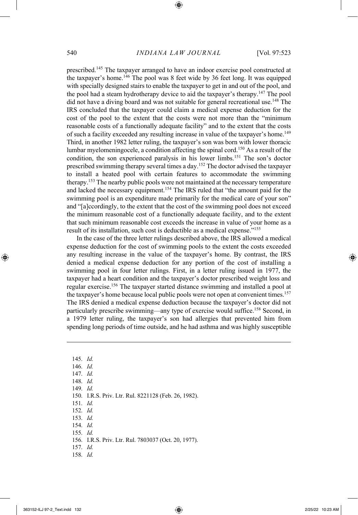prescribed.<sup>145</sup> The taxpayer arranged to have an indoor exercise pool constructed at the taxpayer's home.<sup>146</sup> The pool was 8 feet wide by 36 feet long. It was equipped with specially designed stairs to enable the taxpayer to get in and out of the pool, and the pool had a steam hydrotherapy device to aid the taxpayer's therapy.<sup>147</sup> The pool did not have a diving board and was not suitable for general recreational use.<sup>148</sup> The IRS concluded that the taxpayer could claim a medical expense deduction for the cost of the pool to the extent that the costs were not more than the "minimum reasonable costs of a functionally adequate facility" and to the extent that the costs of such a facility exceeded any resulting increase in value of the taxpayer's home.<sup>149</sup> Third, in another 1982 letter ruling, the taxpayer's son was born with lower thoracic lumbar myelomeningocele, a condition affecting the spinal cord.<sup>150</sup> As a result of the condition, the son experienced paralysis in his lower limbs.<sup>151</sup> The son's doctor prescribed swimming therapy several times a day.<sup>152</sup> The doctor advised the taxpayer to install a heated pool with certain features to accommodate the swimming therapy.<sup>153</sup> The nearby public pools were not maintained at the necessary temperature and lacked the necessary equipment.<sup>154</sup> The IRS ruled that "the amount paid for the swimming pool is an expenditure made primarily for the medical care of your son" and "[a]ccordingly, to the extent that the cost of the swimming pool does not exceed the minimum reasonable cost of a functionally adequate facility, and to the extent that such minimum reasonable cost exceeds the increase in value of your home as a result of its installation, such cost is deductible as a medical expense."<sup>155</sup>

In the case of the three letter rulings described above, the IRS allowed a medical expense deduction for the cost of swimming pools to the extent the costs exceeded any resulting increase in the value of the taxpayer's home. By contrast, the IRS denied a medical expense deduction for any portion of the cost of installing a swimming pool in four letter rulings. First, in a letter ruling issued in 1977, the taxpayer had a heart condition and the taxpayer's doctor prescribed weight loss and regular exercise.<sup>156</sup> The taxpayer started distance swimming and installed a pool at the taxpayer's home because local public pools were not open at convenient times.<sup>157</sup> The IRS denied a medical expense deduction because the taxpayer's doctor did not particularly prescribe swimming—any type of exercise would suffice.<sup>158</sup> Second, in a 1979 letter ruling, the taxpayer's son had allergies that prevented him from spending long periods of time outside, and he had asthma and was highly susceptible

145. *Id.* 146. *Id.* 147. *Id.* 148. *Id.* 149. *Id.* 150. I.R.S. Priv. Ltr. Rul. 8221128 (Feb. 26, 1982). 151. *Id.* 152. *Id.* 153. *Id.* 154. *Id.* 155. *Id.* 156. I.R.S. Priv. Ltr. Rul. 7803037 (Oct. 20, 1977). 157. *Id.* 158. *Id.*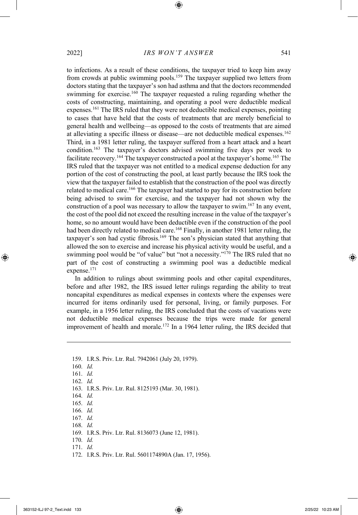to infections. As a result of these conditions, the taxpayer tried to keep him away from crowds at public swimming pools.<sup>159</sup> The taxpayer supplied two letters from doctors stating that the taxpayer's son had asthma and that the doctors recommended swimming for exercise.<sup>160</sup> The taxpayer requested a ruling regarding whether the costs of constructing, maintaining, and operating a pool were deductible medical expenses.<sup>161</sup> The IRS ruled that they were not deductible medical expenses, pointing to cases that have held that the costs of treatments that are merely beneficial to general health and wellbeing—as opposed to the costs of treatments that are aimed at alleviating a specific illness or disease—are not deductible medical expenses.<sup>162</sup> Third, in a 1981 letter ruling, the taxpayer suffered from a heart attack and a heart condition.<sup>163</sup> The taxpayer's doctors advised swimming five days per week to facilitate recovery.<sup>164</sup> The taxpayer constructed a pool at the taxpayer's home.<sup>165</sup> The IRS ruled that the taxpayer was not entitled to a medical expense deduction for any portion of the cost of constructing the pool, at least partly because the IRS took the view that the taxpayer failed to establish that the construction of the pool was directly related to medical care.<sup>166</sup> The taxpayer had started to pay for its construction before being advised to swim for exercise, and the taxpayer had not shown why the construction of a pool was necessary to allow the taxpayer to swim.<sup>167</sup> In any event, the cost of the pool did not exceed the resulting increase in the value of the taxpayer's home, so no amount would have been deductible even if the construction of the pool had been directly related to medical care.<sup>168</sup> Finally, in another 1981 letter ruling, the taxpayer's son had cystic fibrosis.<sup>169</sup> The son's physician stated that anything that allowed the son to exercise and increase his physical activity would be useful, and a swimming pool would be "of value" but "not a necessity."<sup>170</sup> The IRS ruled that no part of the cost of constructing a swimming pool was a deductible medical expense.<sup>171</sup>

In addition to rulings about swimming pools and other capital expenditures, before and after 1982, the IRS issued letter rulings regarding the ability to treat noncapital expenditures as medical expenses in contexts where the expenses were incurred for items ordinarily used for personal, living, or family purposes. For example, in a 1956 letter ruling, the IRS concluded that the costs of vacations were not deductible medical expenses because the trips were made for general improvement of health and morale.<sup>172</sup> In a 1964 letter ruling, the IRS decided that

159. I.R.S. Priv. Ltr. Rul. 7942061 (July 20, 1979). 160. *Id.* 161. *Id.* 162. *Id.* 163. I.R.S. Priv. Ltr. Rul. 8125193 (Mar. 30, 1981). 164. *Id.* 165. *Id.* 166. *Id.* 167. *Id.* 168. *Id.* 169. I.R.S. Priv. Ltr. Rul. 8136073 (June 12, 1981). 170. *Id.* 171. *Id.* 172. I.R.S. Priv. Ltr. Rul. 5601174890A (Jan. 17, 1956).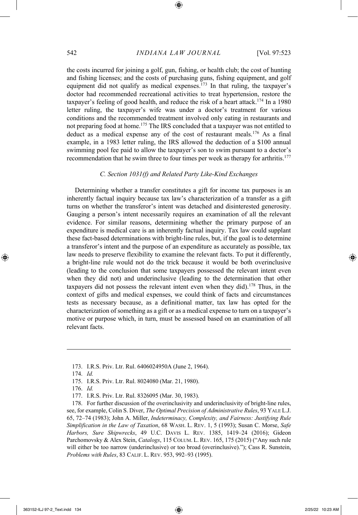the costs incurred for joining a golf, gun, fishing, or health club; the cost of hunting and fishing licenses; and the costs of purchasing guns, fishing equipment, and golf equipment did not qualify as medical expenses.<sup>173</sup> In that ruling, the taxpayer's doctor had recommended recreational activities to treat hypertension, restore the taxpayer's feeling of good health, and reduce the risk of a heart attack. <sup>174</sup> In a 1980 letter ruling, the taxpayer's wife was under a doctor's treatment for various conditions and the recommended treatment involved only eating in restaurants and not preparing food at home.<sup>175</sup> The IRS concluded that a taxpayer was not entitled to deduct as a medical expense any of the cost of restaurant meals.<sup>176</sup> As a final example, in a 1983 letter ruling, the IRS allowed the deduction of a \$100 annual swimming pool fee paid to allow the taxpayer's son to swim pursuant to a doctor's recommendation that he swim three to four times per week as therapy for arthritis.<sup>177</sup>

#### *C. Section 1031(f) and Related Party Like-Kind Exchanges*

Determining whether a transfer constitutes a gift for income tax purposes is an inherently factual inquiry because tax law's characterization of a transfer as a gift turns on whether the transferor's intent was detached and disinterested generosity. Gauging a person's intent necessarily requires an examination of all the relevant evidence. For similar reasons, determining whether the primary purpose of an expenditure is medical care is an inherently factual inquiry. Tax law could supplant these fact-based determinations with bright-line rules, but, if the goal is to determine a transferor's intent and the purpose of an expenditure as accurately as possible, tax law needs to preserve flexibility to examine the relevant facts. To put it differently, a bright-line rule would not do the trick because it would be both overinclusive (leading to the conclusion that some taxpayers possessed the relevant intent even when they did not) and underinclusive (leading to the determination that other taxpayers did not possess the relevant intent even when they did).<sup>178</sup> Thus, in the context of gifts and medical expenses, we could think of facts and circumstances tests as necessary because, as a definitional matter, tax law has opted for the characterization of something as a gift or as a medical expense to turn on a taxpayer's motive or purpose which, in turn, must be assessed based on an examination of all relevant facts.

<sup>173.</sup> I.R.S. Priv. Ltr. Rul. 6406024950A (June 2, 1964).

<sup>174.</sup> *Id.*

<sup>175.</sup> I.R.S. Priv. Ltr. Rul. 8024080 (Mar. 21, 1980).

<sup>176.</sup> *Id.*

<sup>177.</sup> I.R.S. Priv. Ltr. Rul. 8326095 (Mar. 30, 1983).

<sup>178.</sup> For further discussion of the overinclusivity and underinclusivity of bright-line rules, see, for example, Colin S. Diver, *The Optimal Precision of Administrative Rules*, 93 YALE L.J. 65, 72–74 (1983); John A. Miller, *Indeterminacy, Complexity, and Fairness: Justifying Rule Simplification in the Law of Taxation*, 68 WASH. L. REV. 1, 5 (1993); Susan C. Morse, *Safe Harbors, Sure Shipwrecks*, 49 U.C. DAVIS L. REV. 1385, 1419–24 (2016); Gideon Parchomovsky & Alex Stein, *Catalogs*, 115 COLUM. L. REV. 165, 175 (2015) ("Any such rule will either be too narrow (underinclusive) or too broad (overinclusive)."); Cass R. Sunstein, *Problems with Rules*, 83 CALIF. L. REV. 953, 992–93 (1995).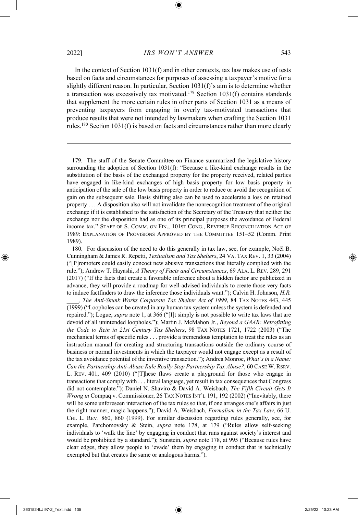In the context of Section 1031(f) and in other contexts, tax law makes use of tests based on facts and circumstances for purposes of assessing a taxpayer's motive for a slightly different reason. In particular, Section 1031(f)'s aim is to determine whether a transaction was excessively tax motivated.<sup>179</sup> Section 1031(f) contains standards that supplement the more certain rules in other parts of Section 1031 as a means of preventing taxpayers from engaging in overly tax-motivated transactions that produce results that were not intended by lawmakers when crafting the Section 1031 rules.<sup>180</sup> Section 1031(f) is based on facts and circumstances rather than more clearly

179. The staff of the Senate Committee on Finance summarized the legislative history surrounding the adoption of Section 1031(f): "Because a like-kind exchange results in the substitution of the basis of the exchanged property for the property received, related parties have engaged in like-kind exchanges of high basis property for low basis property in anticipation of the sale of the low basis property in order to reduce or avoid the recognition of gain on the subsequent sale. Basis shifting also can be used to accelerate a loss on retained property . . . A disposition also will not invalidate the nonrecognition treatment of the original exchange if it is established to the satisfaction of the Secretary of the Treasury that neither the exchange nor the disposition had as one of its principal purposes the avoidance of Federal income tax." STAFF OF S. COMM. ON FIN., 101ST CONG., REVENUE RECONCILIATION ACT OF 1989: EXPLANATION OF PROVISIONS APPROVED BY THE COMMITTEE 151–52 (Comm. Print 1989).

180. For discussion of the need to do this generally in tax law, see, for example, Noël B. Cunningham & James R. Repetti, *Textualism and Tax Shelters*, 24 VA. TAX REV. 1, 33 (2004) ("[P]romoters could easily concoct new abusive transactions that literally complied with the rule."); Andrew T. Hayashi, *A Theory of Facts and Circumstances*, 69 ALA. L. REV. 289, 291 (2017) ("If the facts that create a favorable inference about a hidden factor are publicized in advance, they will provide a roadmap for well-advised individuals to create those very facts to induce factfinders to draw the inference those individuals want."); Calvin H. Johnson, *H.R.* 

*\_\_\_\_, The Anti-Skunk Works Corporate Tax Shelter Act of 1999*, 84 TAX NOTES 443, 445 (1999) ("Loopholes can be created in any human tax system unless the system is defended and repaired."); Logue, *supra* note 1, at 366 ("[I]t simply is not possible to write tax laws that are devoid of all unintended loopholes."); Martin J. McMahon Jr., *Beyond a GAAR: Retrofitting the Code to Rein in 21st Century Tax Shelters*, 98 TAX NOTES 1721, 1722 (2003) ("The mechanical terms of specific rules . . . provide a tremendous temptation to treat the rules as an instruction manual for creating and structuring transactions outside the ordinary course of business or normal investments in which the taxpayer would not engage except as a result of the tax avoidance potential of the inventive transaction."); Andrea Monroe, *What's in a Name: Can the Partnership Anti-Abuse Rule Really Stop Partnership Tax Abuse?*, 60 CASE W. RSRV. L. REV. 401, 409 (2010) ("[T]hese flaws create a playground for those who engage in transactions that comply with . . . literal language, yet result in tax consequences that Congress did not contemplate."); Daniel N. Shaviro & David A. Weisbach, *The Fifth Circuit Gets It Wrong in Compaq v. Commissioner, 26 TAX NOTES INT'L 191, 192 (2002)* ("Inevitably, there will be some unforeseen interaction of the tax rules so that, if one arranges one's affairs in just the right manner, magic happens."); David A. Weisbach, *Formalism in the Tax Law*, 66 U. CHI. L. REV. 860, 860 (1999). For similar discussion regarding rules generally, see, for example, Parchomovsky & Stein, *supra* note 178, at 179 ("Rules allow self-seeking individuals to 'walk the line' by engaging in conduct that runs against society's interest and would be prohibited by a standard."); Sunstein, *supra* note 178, at 995 ("Because rules have clear edges, they allow people to 'evade' them by engaging in conduct that is technically exempted but that creates the same or analogous harms.").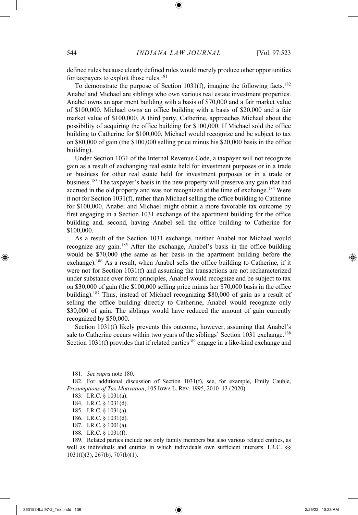defined rules because clearly defined rules would merely produce other opportunities for taxpayers to exploit those rules.<sup>181</sup>

To demonstrate the purpose of Section 1031(f), imagine the following facts.<sup>182</sup> Anabel and Michael are siblings who own various real estate investment properties. Anabel owns an apartment building with a basis of \$70,000 and a fair market value of \$100,000. Michael owns an office building with a basis of \$20,000 and a fair market value of \$100,000. A third party, Catherine, approaches Michael about the possibility of acquiring the office building for \$100,000. If Michael sold the office building to Catherine for \$100,000, Michael would recognize and be subject to tax on \$80,000 of gain (the \$100,000 selling price minus his \$20,000 basis in the office building).

Under Section 1031 of the Internal Revenue Code, a taxpayer will not recognize gain as a result of exchanging real estate held for investment purposes or in a trade or business for other real estate held for investment purposes or in a trade or business.<sup>183</sup> The taxpayer's basis in the new property will preserve any gain that had accrued in the old property and was not recognized at the time of exchange.<sup>184</sup> Were it not for Section 1031(f), rather than Michael selling the office building to Catherine for \$100,000, Anabel and Michael might obtain a more favorable tax outcome by first engaging in a Section 1031 exchange of the apartment building for the office building and, second, having Anabel sell the office building to Catherine for \$100,000.

As a result of the Section 1031 exchange, neither Anabel nor Michael would recognize any gain.<sup>185</sup> After the exchange, Anabel's basis in the office building would be \$70,000 (the same as her basis in the apartment building before the exchange).<sup>186</sup> As a result, when Anabel sells the office building to Catherine, if it were not for Section 1031(f) and assuming the transactions are not recharacterized under substance over form principles, Anabel would recognize and be subject to tax on \$30,000 of gain (the \$100,000 selling price minus her \$70,000 basis in the office building).<sup>187</sup> Thus, instead of Michael recognizing \$80,000 of gain as a result of selling the office building directly to Catherine, Anabel would recognize only \$30,000 of gain. The siblings would have reduced the amount of gain currently recognized by \$50,000.

Section 1031(f) likely prevents this outcome, however, assuming that Anabel's sale to Catherine occurs within two years of the siblings' Section 1031 exchange.<sup>188</sup> Section 1031(f) provides that if related parties<sup>189</sup> engage in a like-kind exchange and

- 187. I.R.C. § 1001(a).
- 188. I.R.C. § 1031(f).

<sup>181.</sup> *See supra* note 180.

<sup>182.</sup> For additional discussion of Section 1031(f), see, for example, Emily Cauble, *Presumptions of Tax Motivation*, 105 IOWA L. REV. 1995, 2010–13 (2020).

<sup>183.</sup> I.R.C. § 1031(a).

<sup>184.</sup> I.R.C. § 1031(d).

<sup>185.</sup> I.R.C. § 1031(a).

<sup>186.</sup> I.R.C. § 1031(d).

<sup>189.</sup> Related parties include not only family members but also various related entities, as well as individuals and entities in which individuals own sufficient interests. I.R.C. §§ 1031(f)(3), 267(b), 707(b)(1).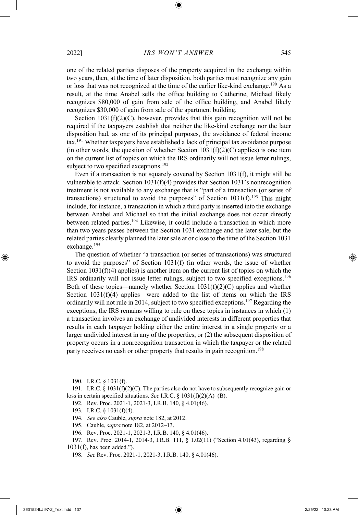one of the related parties disposes of the property acquired in the exchange within two years, then, at the time of later disposition, both parties must recognize any gain or loss that was not recognized at the time of the earlier like-kind exchange.<sup>190</sup> As a result, at the time Anabel sells the office building to Catherine, Michael likely recognizes \$80,000 of gain from sale of the office building, and Anabel likely recognizes \$30,000 of gain from sale of the apartment building.

Section  $1031(f)(2)(C)$ , however, provides that this gain recognition will not be required if the taxpayers establish that neither the like-kind exchange nor the later disposition had, as one of its principal purposes, the avoidance of federal income tax.<sup>191</sup> Whether taxpayers have established a lack of principal tax avoidance purpose (in other words, the question of whether Section  $1031(f)(2)(C)$  applies) is one item on the current list of topics on which the IRS ordinarily will not issue letter rulings, subject to two specified exceptions.<sup>192</sup>

Even if a transaction is not squarely covered by Section 1031(f), it might still be vulnerable to attack. Section 1031(f)(4) provides that Section 1031's nonrecognition treatment is not available to any exchange that is "part of a transaction (or series of transactions) structured to avoid the purposes" of Section  $1031(f)$ .<sup>193</sup> This might include, for instance, a transaction in which a third party is inserted into the exchange between Anabel and Michael so that the initial exchange does not occur directly between related parties.<sup>194</sup> Likewise, it could include a transaction in which more than two years passes between the Section 1031 exchange and the later sale, but the related parties clearly planned the later sale at or close to the time of the Section 1031 exchange.<sup>195</sup>

The question of whether "a transaction (or series of transactions) was structured to avoid the purposes" of Section 1031(f) (in other words, the issue of whether Section  $1031(f)(4)$  applies) is another item on the current list of topics on which the IRS ordinarily will not issue letter rulings, subject to two specified exceptions.<sup>196</sup> Both of these topics—namely whether Section  $1031(f)(2)(C)$  applies and whether Section  $1031(f)(4)$  applies—were added to the list of items on which the IRS ordinarily will not rule in 2014, subject to two specified exceptions.<sup>197</sup> Regarding the exceptions, the IRS remains willing to rule on these topics in instances in which (1) a transaction involves an exchange of undivided interests in different properties that results in each taxpayer holding either the entire interest in a single property or a larger undivided interest in any of the properties, or (2) the subsequent disposition of property occurs in a nonrecognition transaction in which the taxpayer or the related party receives no cash or other property that results in gain recognition.<sup>198</sup>

- 194. *See also* Cauble, *supra* note 182, at 2012.
- 195. Cauble, *supra* note 182, at 2012–13.
- 196. Rev. Proc. 2021-1, 2021-3, I.R.B. 140, § 4.01(46).
- 197. Rev. Proc. 2014-1, 2014-3, I.R.B. 111, § 1.02(11) ("Section 4.01(43), regarding § 1031(f), has been added.").

<sup>190.</sup> I.R.C. § 1031(f).

<sup>191.</sup> I.R.C. § 1031(f)(2)(C). The parties also do not have to subsequently recognize gain or loss in certain specified situations. *See* I.R.C. § 1031(f)(2)(A)–(B).

<sup>192.</sup> Rev. Proc. 2021-1, 2021-3, I.R.B. 140, § 4.01(46).

<sup>193.</sup> I.R.C. § 1031(f)(4).

<sup>198.</sup> *See* Rev. Proc. 2021-1, 2021-3, I.R.B. 140, § 4.01(46).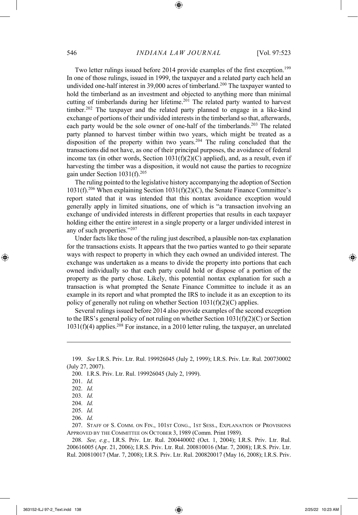Two letter rulings issued before 2014 provide examples of the first exception.<sup>199</sup> In one of those rulings, issued in 1999, the taxpayer and a related party each held an undivided one-half interest in 39,000 acres of timberland.<sup>200</sup> The taxpayer wanted to hold the timberland as an investment and objected to anything more than minimal cutting of timberlands during her lifetime.<sup>201</sup> The related party wanted to harvest timber.<sup>202</sup> The taxpayer and the related party planned to engage in a like-kind exchange of portions of their undivided interests in the timberland so that, afterwards, each party would be the sole owner of one-half of the timberlands.<sup>203</sup> The related party planned to harvest timber within two years, which might be treated as a disposition of the property within two years.<sup>204</sup> The ruling concluded that the transactions did not have, as one of their principal purposes, the avoidance of federal income tax (in other words, Section  $1031(f)(2)(C)$  applied), and, as a result, even if harvesting the timber was a disposition, it would not cause the parties to recognize gain under Section 1031(f).<sup>205</sup>

The ruling pointed to the legislative history accompanying the adoption of Section  $1031(f).^{206}$  When explaining Section  $1031(f)(2)(C)$ , the Senate Finance Committee's report stated that it was intended that this nontax avoidance exception would generally apply in limited situations, one of which is "a transaction involving an exchange of undivided interests in different properties that results in each taxpayer holding either the entire interest in a single property or a larger undivided interest in any of such properties."<sup>207</sup>

Under facts like those of the ruling just described, a plausible non-tax explanation for the transactions exists. It appears that the two parties wanted to go their separate ways with respect to property in which they each owned an undivided interest. The exchange was undertaken as a means to divide the property into portions that each owned individually so that each party could hold or dispose of a portion of the property as the party chose. Likely, this potential nontax explanation for such a transaction is what prompted the Senate Finance Committee to include it as an example in its report and what prompted the IRS to include it as an exception to its policy of generally not ruling on whether Section  $1031(f)(2)(C)$  applies.

Several rulings issued before 2014 also provide examples of the second exception to the IRS's general policy of not ruling on whether Section 1031(f)(2)(C) or Section  $1031(f)(4)$  applies.<sup>208</sup> For instance, in a 2010 letter ruling, the taxpayer, an unrelated

206. *Id.*

<sup>199.</sup> *See* I.R.S. Priv. Ltr. Rul. 199926045 (July 2, 1999); I.R.S. Priv. Ltr. Rul. 200730002 (July 27, 2007).

<sup>200.</sup> I.R.S. Priv. Ltr. Rul. 199926045 (July 2, 1999).

<sup>201.</sup> *Id.*

<sup>202.</sup> *Id.*

<sup>203.</sup> *Id.*

<sup>204.</sup> *Id.*

<sup>205.</sup> *Id.*

<sup>207.</sup> STAFF OF S. COMM. ON FIN., 101ST CONG., 1ST SESS., EXPLANATION OF PROVISIONS APPROVED BY THE COMMITTEE ON OCTOBER 3, 1989 (Comm. Print 1989).

<sup>208.</sup> *See, e.g.*, I.R.S. Priv. Ltr. Rul. 200440002 (Oct. 1, 2004); I.R.S. Priv. Ltr. Rul. 200616005 (Apr. 21, 2006); I.R.S. Priv. Ltr. Rul. 200810016 (Mar. 7, 2008); I.R.S. Priv. Ltr. Rul. 200810017 (Mar. 7, 2008); I.R.S. Priv. Ltr. Rul. 200820017 (May 16, 2008); I.R.S. Priv.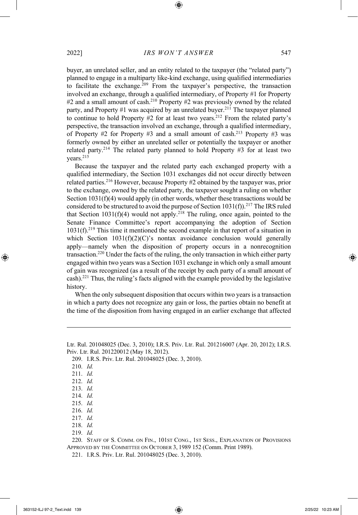buyer, an unrelated seller, and an entity related to the taxpayer (the "related party") planned to engage in a multiparty like-kind exchange, using qualified intermediaries to facilitate the exchange.<sup>209</sup> From the taxpayer's perspective, the transaction involved an exchange, through a qualified intermediary, of Property #1 for Property  $#2$  and a small amount of cash.<sup>210</sup> Property  $#2$  was previously owned by the related party, and Property #1 was acquired by an unrelated buyer.<sup>211</sup> The taxpayer planned to continue to hold Property  $#2$  for at least two years.<sup>212</sup> From the related party's perspective, the transaction involved an exchange, through a qualified intermediary, of Property  $#2$  for Property  $#3$  and a small amount of cash.<sup>213</sup> Property  $#3$  was formerly owned by either an unrelated seller or potentially the taxpayer or another related party.<sup>214</sup> The related party planned to hold Property #3 for at least two years.<sup>215</sup>

Because the taxpayer and the related party each exchanged property with a qualified intermediary, the Section 1031 exchanges did not occur directly between related parties.<sup>216</sup> However, because Property #2 obtained by the taxpayer was, prior to the exchange, owned by the related party, the taxpayer sought a ruling on whether Section 1031(f)(4) would apply (in other words, whether these transactions would be considered to be structured to avoid the purpose of Section  $1031(f)$ .<sup>217</sup> The IRS ruled that Section  $1031(f)(4)$  would not apply.<sup>218</sup> The ruling, once again, pointed to the Senate Finance Committee's report accompanying the adoption of Section  $1031(f).<sup>219</sup>$  This time it mentioned the second example in that report of a situation in which Section  $1031(f)(2)(C)$ 's nontax avoidance conclusion would generally apply—namely when the disposition of property occurs in a nonrecognition transaction.<sup>220</sup> Under the facts of the ruling, the only transaction in which either party engaged within two years was a Section 1031 exchange in which only a small amount of gain was recognized (as a result of the receipt by each party of a small amount of cash). <sup>221</sup> Thus, the ruling's facts aligned with the example provided by the legislative history.

When the only subsequent disposition that occurs within two years is a transaction in which a party does not recognize any gain or loss, the parties obtain no benefit at the time of the disposition from having engaged in an earlier exchange that affected

219. *Id.*

220. STAFF OF S. COMM. ON FIN., 101ST CONG., 1ST SESS., EXPLANATION OF PROVISIONS APPROVED BY THE COMMITTEE ON OCTOBER 3, 1989 152 (Comm. Print 1989).

221. I.R.S. Priv. Ltr. Rul. 201048025 (Dec. 3, 2010).

Ltr. Rul. 201048025 (Dec. 3, 2010); I.R.S. Priv. Ltr. Rul. 201216007 (Apr. 20, 2012); I.R.S. Priv. Ltr. Rul. 201220012 (May 18, 2012).

<sup>209.</sup> I.R.S. Priv. Ltr. Rul. 201048025 (Dec. 3, 2010).

<sup>210.</sup> *Id.*

<sup>211.</sup> *Id.*

<sup>212.</sup> *Id.*

<sup>213.</sup> *Id.*

<sup>214.</sup> *Id.*

<sup>215.</sup> *Id.*

<sup>216.</sup> *Id.*

<sup>217.</sup> *Id.*

<sup>218.</sup> *Id.*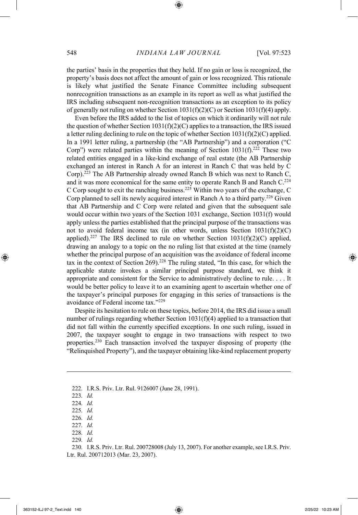the parties' basis in the properties that they held. If no gain or loss is recognized, the property's basis does not affect the amount of gain or loss recognized. This rationale is likely what justified the Senate Finance Committee including subsequent nonrecognition transactions as an example in its report as well as what justified the IRS including subsequent non-recognition transactions as an exception to its policy of generally not ruling on whether Section 1031(f)(2)(C) or Section 1031(f)(4) apply.

Even before the IRS added to the list of topics on which it ordinarily will not rule the question of whether Section  $1031(f)(2)(C)$  applies to a transaction, the IRS issued a letter ruling declining to rule on the topic of whether Section  $1031(f)(2)(C)$  applied. In a 1991 letter ruling, a partnership (the "AB Partnership") and a corporation ("C Corp") were related parties within the meaning of Section  $1031(f).^{222}$  These two related entities engaged in a like-kind exchange of real estate (the AB Partnership exchanged an interest in Ranch A for an interest in Ranch C that was held by C Corp).<sup>223</sup> The AB Partnership already owned Ranch B which was next to Ranch C, and it was more economical for the same entity to operate Ranch B and Ranch C.<sup>224</sup> C Corp sought to exit the ranching business.<sup>225</sup> Within two years of the exchange, C Corp planned to sell its newly acquired interest in Ranch A to a third party.<sup>226</sup> Given that AB Partnership and C Corp were related and given that the subsequent sale would occur within two years of the Section 1031 exchange, Section 1031(f) would apply unless the parties established that the principal purpose of the transactions was not to avoid federal income tax (in other words, unless Section 1031(f)(2)(C) applied).<sup>227</sup> The IRS declined to rule on whether Section  $1031(f)(2)(C)$  applied, drawing an analogy to a topic on the no ruling list that existed at the time (namely whether the principal purpose of an acquisition was the avoidance of federal income tax in the context of Section  $269$ .<sup>228</sup> The ruling stated, "In this case, for which the applicable statute invokes a similar principal purpose standard, we think it appropriate and consistent for the Service to administratively decline to rule. . . . It would be better policy to leave it to an examining agent to ascertain whether one of the taxpayer's principal purposes for engaging in this series of transactions is the avoidance of Federal income tax."<sup>229</sup>

Despite its hesitation to rule on these topics, before 2014, the IRS did issue a small number of rulings regarding whether Section 1031(f)(4) applied to a transaction that did not fall within the currently specified exceptions. In one such ruling, issued in 2007, the taxpayer sought to engage in two transactions with respect to two properties.<sup>230</sup> Each transaction involved the taxpayer disposing of property (the "Relinquished Property"), and the taxpayer obtaining like-kind replacement property

222. I.R.S. Priv. Ltr. Rul. 9126007 (June 28, 1991).

- 226. *Id.*
- 227. *Id.*
- 228. *Id.*
- 229. *Id.*

230. I.R.S. Priv. Ltr. Rul. 200728008 (July 13, 2007). For another example, see I.R.S. Priv. Ltr. Rul. 200712013 (Mar. 23, 2007).

<sup>223.</sup> *Id.*

<sup>224.</sup> *Id.*

<sup>225.</sup> *Id.*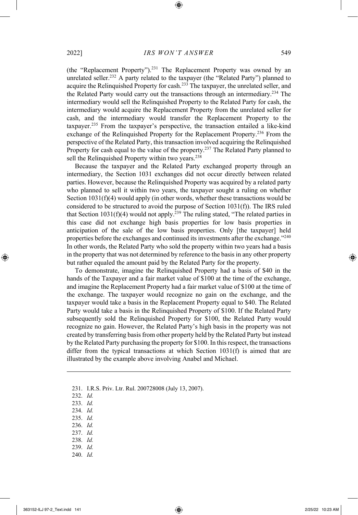(the "Replacement Property").<sup>231</sup> The Replacement Property was owned by an unrelated seller.<sup>232</sup> A party related to the taxpayer (the "Related Party") planned to acquire the Relinquished Property for cash.<sup>233</sup> The taxpayer, the unrelated seller, and the Related Party would carry out the transactions through an intermediary.<sup>234</sup> The intermediary would sell the Relinquished Property to the Related Party for cash, the intermediary would acquire the Replacement Property from the unrelated seller for cash, and the intermediary would transfer the Replacement Property to the taxpayer.<sup>235</sup> From the taxpayer's perspective, the transaction entailed a like-kind exchange of the Relinquished Property for the Replacement Property.<sup>236</sup> From the perspective of the Related Party, this transaction involved acquiring the Relinquished Property for cash equal to the value of the property.<sup>237</sup> The Related Party planned to sell the Relinquished Property within two years.<sup>238</sup>

Because the taxpayer and the Related Party exchanged property through an intermediary, the Section 1031 exchanges did not occur directly between related parties. However, because the Relinquished Property was acquired by a related party who planned to sell it within two years, the taxpayer sought a ruling on whether Section 1031(f)(4) would apply (in other words, whether these transactions would be considered to be structured to avoid the purpose of Section 1031(f)). The IRS ruled that Section 1031(f)(4) would not apply.<sup>239</sup> The ruling stated, "The related parties in this case did not exchange high basis properties for low basis properties in anticipation of the sale of the low basis properties. Only [the taxpayer] held properties before the exchanges and continued its investments after the exchange."<sup>240</sup> In other words, the Related Party who sold the property within two years had a basis in the property that was not determined by reference to the basis in any other property but rather equaled the amount paid by the Related Party for the property.

To demonstrate, imagine the Relinquished Property had a basis of \$40 in the hands of the Taxpayer and a fair market value of \$100 at the time of the exchange, and imagine the Replacement Property had a fair market value of \$100 at the time of the exchange. The taxpayer would recognize no gain on the exchange, and the taxpayer would take a basis in the Replacement Property equal to \$40. The Related Party would take a basis in the Relinquished Property of \$100. If the Related Party subsequently sold the Relinquished Property for \$100, the Related Party would recognize no gain. However, the Related Party's high basis in the property was not created by transferring basis from other property held by the Related Party but instead by the Related Party purchasing the property for \$100. In this respect, the transactions differ from the typical transactions at which Section 1031(f) is aimed that are illustrated by the example above involving Anabel and Michael.

- 235. *Id.*
- 236. *Id.*
- 237. *Id.*
- 238. *Id.*
- 239. *Id.*
- 240. *Id.*

<sup>231.</sup> I.R.S. Priv. Ltr. Rul. 200728008 (July 13, 2007).

<sup>232.</sup> *Id.*

<sup>233.</sup> *Id.*

<sup>234.</sup> *Id.*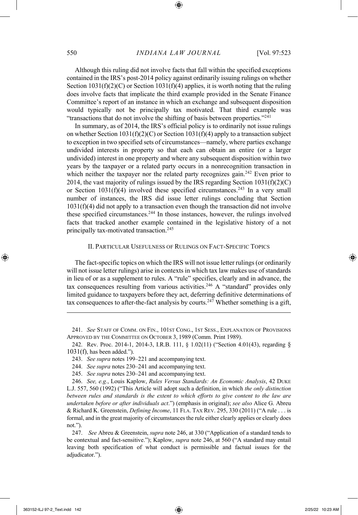Although this ruling did not involve facts that fall within the specified exceptions contained in the IRS's post-2014 policy against ordinarily issuing rulings on whether Section  $1031(f)(2)(C)$  or Section  $1031(f)(4)$  applies, it is worth noting that the ruling does involve facts that implicate the third example provided in the Senate Finance Committee's report of an instance in which an exchange and subsequent disposition would typically not be principally tax motivated. That third example was "transactions that do not involve the shifting of basis between properties."<sup>241</sup>

In summary, as of 2014, the IRS's official policy is to ordinarily not issue rulings on whether Section 1031(f)(2)(C) or Section 1031(f)(4) apply to a transaction subject to exception in two specified sets of circumstances—namely, where parties exchange undivided interests in property so that each can obtain an entire (or a larger undivided) interest in one property and where any subsequent disposition within two years by the taxpayer or a related party occurs in a nonrecognition transaction in which neither the taxpayer nor the related party recognizes gain.<sup>242</sup> Even prior to 2014, the vast majority of rulings issued by the IRS regarding Section 1031(f)(2)(C) or Section  $1031(f)(4)$  involved these specified circumstances.<sup>243</sup> In a very small number of instances, the IRS did issue letter rulings concluding that Section 1031(f)(4) did not apply to a transaction even though the transaction did not involve these specified circumstances.<sup>244</sup> In those instances, however, the rulings involved facts that tracked another example contained in the legislative history of a not principally tax-motivated transaction.<sup>245</sup>

### II. PARTICULAR USEFULNESS OF RULINGS ON FACT-SPECIFIC TOPICS

The fact-specific topics on which the IRS will not issue letter rulings (or ordinarily will not issue letter rulings) arise in contexts in which tax law makes use of standards in lieu of or as a supplement to rules. A "rule" specifies, clearly and in advance, the tax consequences resulting from various activities.<sup>246</sup> A "standard" provides only limited guidance to taxpayers before they act, deferring definitive determinations of tax consequences to after-the-fact analysis by courts.<sup>247</sup> Whether something is a gift,

<sup>241.</sup> *See* STAFF OF COMM. ON FIN., 101ST CONG., 1ST SESS., EXPLANATION OF PROVISIONS APPROVED BY THE COMMITTEE ON OCTOBER 3, 1989 (Comm. Print 1989).

<sup>242.</sup> Rev. Proc. 2014-1, 2014-3, I.R.B. 111, § 1.02(11) ("Section 4.01(43), regarding §  $1031(f)$ , has been added.").

<sup>243.</sup> *See supra* notes 199–221 and accompanying text.

<sup>244.</sup> *See supra* notes 230–241 and accompanying text.

<sup>245.</sup> *See supra* notes 230–241 and accompanying text.

<sup>246.</sup> *See, e.g.*, Louis Kaplow, *Rules Versus Standards: An Economic Analysis*, 42 DUKE L.J. 557, 560 (1992) ("This Article will adopt such a definition, in which *the only distinction between rules and standards is the extent to which efforts to give content to the law are undertaken before or after individuals act*.") (emphasis in original); *see also* Alice G. Abreu & Richard K. Greenstein, *Defining Income*, 11 FLA. TAX REV. 295, 330 (2011) ("A rule . . . is formal, and in the great majority of circumstances the rule either clearly applies or clearly does not.").

<sup>247.</sup> *See* Abreu & Greenstein, *supra* note 246, at 330 ("Application of a standard tends to be contextual and fact-sensitive."); Kaplow, *supra* note 246, at 560 ("A standard may entail leaving both specification of what conduct is permissible and factual issues for the adjudicator.").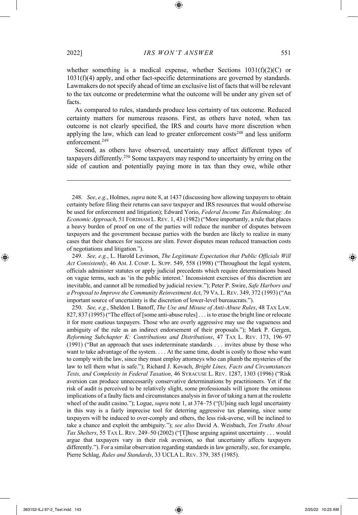whether something is a medical expense, whether Sections  $1031(f)(2)(C)$  or

1031(f)(4) apply, and other fact-specific determinations are governed by standards. Lawmakers do not specify ahead of time an exclusive list of facts that will be relevant to the tax outcome or predetermine what the outcome will be under any given set of facts.

As compared to rules, standards produce less certainty of tax outcome. Reduced certainty matters for numerous reasons. First, as others have noted, when tax outcome is not clearly specified, the IRS and courts have more discretion when applying the law, which can lead to greater enforcement costs<sup>248</sup> and less uniform enforcement.<sup>249</sup>

Second, as others have observed, uncertainty may affect different types of taxpayers differently.<sup>250</sup> Some taxpayers may respond to uncertainty by erring on the side of caution and potentially paying more in tax than they owe, while other

248. *See*, *e.g*., Holmes, *supra* note 8, at 1437 (discussing how allowing taxpayers to obtain certainty before filing their returns can save taxpayer and IRS resources that would otherwise be used for enforcement and litigation); Edward Yorio, *Federal Income Tax Rulemaking: An Economic Approach*, 51 FORDHAM L. REV. 1, 43 (1982) ("More importantly, a rule that places a heavy burden of proof on one of the parties will reduce the number of disputes between taxpayers and the government because parties with the burden are likely to realize in many cases that their chances for success are slim. Fewer disputes mean reduced transaction costs of negotiations and litigation.").

249. *See, e.g.*, L. Harold Levinson, *The Legitimate Expectation that Public Officials Will Act Consistently*, 46 AM. J. COMP. L. SUPP. 549, 558 (1998) ("Throughout the legal system, officials administer statutes or apply judicial precedents which require determinations based on vague terms, such as 'in the public interest.' Inconsistent exercises of this discretion are inevitable, and cannot all be remedied by judicial review."); Peter P. Swire, *Safe Harbors and a Proposal to Improve the Community Reinvestment Act*, 79 VA. L.REV. 349, 372 (1993) ("An important source of uncertainty is the discretion of lower-level bureaucrats.").

250. *See, e.g.*, Sheldon I. Banoff, *The Use and Misuse of Anti-Abuse Rules*, 48 TAX LAW. 827, 837 (1995) ("The effect of [some anti-abuse rules] . . . is to erase the bright line or relocate it for more cautious taxpayers. Those who are overly aggressive may use the vagueness and ambiguity of the rule as an indirect endorsement of their proposals."); Mark P. Gergen, *Reforming Subchapter K: Contributions and Distributions*, 47 TAX L. REV. 173, 196–97 (1991) ("But an approach that uses indeterminate standards . . . invites abuse by those who want to take advantage of the system. . . . At the same time, doubt is costly to those who want to comply with the law, since they must employ attorneys who can plumb the mysteries of the law to tell them what is safe."); Richard J. Kovach, *Bright Lines, Facts and Circumstances Tests, and Complexity in Federal Taxation*, 46 SYRACUSE L. REV. 1287, 1303 (1996) ("Risk aversion can produce unnecessarily conservative determinations by practitioners. Yet if the risk of audit is perceived to be relatively slight, some professionals will ignore the ominous implications of a faulty facts and circumstances analysis in favor of taking a turn at the roulette wheel of the audit casino."); Logue, *supra* note 1, at 374–75 ("[U]sing such legal uncertainty in this way is a fairly imprecise tool for deterring aggressive tax planning, since some taxpayers will be induced to over-comply and others, the less risk-averse, will be inclined to take a chance and exploit the ambiguity."); *see also* David A. Weisbach, *Ten Truths About Tax Shelters*, 55 TAX L. REV. 249–50 (2002) ("[T]hose arguing against uncertainty . . . would argue that taxpayers vary in their risk aversion, so that uncertainty affects taxpayers differently."). For a similar observation regarding standards in law generally, see, for example, Pierre Schlag, *Rules and Standards*, 33 UCLA L. REV. 379, 385 (1985).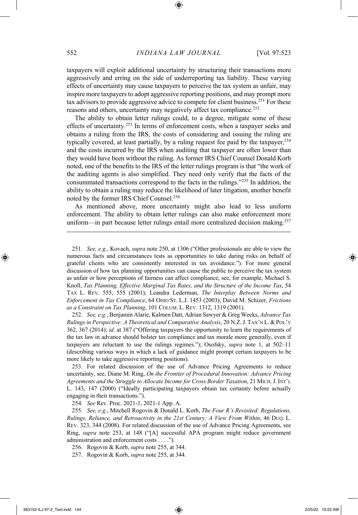taxpayers will exploit additional uncertainty by structuring their transactions more aggressively and erring on the side of underreporting tax liability. These varying effects of uncertainty may cause taxpayers to perceive the tax system as unfair, may inspire more taxpayers to adopt aggressive reporting positions, and may prompt more tax advisors to provide aggressive advice to compete for client business.<sup>251</sup> For these reasons and others, uncertainty may negatively affect tax compliance.<sup>252</sup>

The ability to obtain letter rulings could, to a degree, mitigate some of these effects of uncertainty.<sup>253</sup> In terms of enforcement costs, when a taxpayer seeks and obtains a ruling from the IRS, the costs of considering and issuing the ruling are typically covered, at least partially, by a ruling request fee paid by the taxpayer,  $254$ and the costs incurred by the IRS when auditing that taxpayer are often lower than they would have been without the ruling. As former IRS Chief Counsel Donald Korb noted, one of the benefits to the IRS of the letter rulings program is that "the work of the auditing agents is also simplified. They need only verify that the facts of the consummated transactions correspond to the facts in the rulings."<sup>255</sup> In addition, the ability to obtain a ruling may reduce the likelihood of later litigation, another benefit noted by the former IRS Chief Counsel.<sup>256</sup>

As mentioned above, more uncertainty might also lead to less uniform enforcement. The ability to obtain letter rulings can also make enforcement more uniform—in part because letter rulings entail more centralized decision making.<sup>257</sup>

252. *See, e.g.*, Benjamin Alarie, Kalmen Datt, Adrian Sawyer & Greg Weeks, *Advance Tax Rulings in Perspective: A Theoretical and Comparative Analysis*, 20 N.Z. J. TAX'N L. & POL'Y 362, 367 (2014); *id*. at 387 ("Offering taxpayers the opportunity to learn the requirements of the tax law in advance should bolster tax compliance and tax morale more generally, even if taxpayers are reluctant to use the rulings regimes."); Osofsky, *supra* note 1, at 502–11 (describing various ways in which a lack of guidance might prompt certain taxpayers to be more likely to take aggressive reporting positions).

253. For related discussion of the use of Advance Pricing Agreements to reduce uncertainty, see, Diane M. Ring, *On the Frontier of Procedural Innovation: Advance Pricing Agreements and the Struggle to Allocate Income for Cross Border Taxation*, 21 MICH.J. INT'L L. 143, 147 (2000) ("Ideally participating taxpayers obtain tax certainty before actually engaging in their transactions.").

254. *See* Rev. Proc. 2021-1, 2021-1 App. A.

255. *See, e.g.*, Mitchell Rogovin & Donald L. Korb, *The Four R's Revisited: Regulations, Rulings, Reliance, and Retroactivity in the 21st Century: A View From Within*, 46 DUQ. L. REV. 323, 344 (2008). For related discussion of the use of Advance Pricing Agreements, see Ring, *supra* note 253, at 148 ("[A] successful APA program might reduce government administration and enforcement costs . . . .").

256. Rogovin & Korb, *supra* note 255, at 344.

257. Rogovin & Korb, *supra* note 255, at 344.

<sup>251.</sup> *See, e.g.*, Kovach, *supra* note 250, at 1306 ("Other professionals are able to view the numerous facts and circumstances tests as opportunities to take daring risks on behalf of grateful clients who are consistently interested in tax avoidance."). For more general discussion of how tax planning opportunities can cause the public to perceive the tax system as unfair or how perceptions of fairness can affect compliance, see, for example, Michael S. Knoll, *Tax Planning, Effective Marginal Tax Rates, and the Structure of the Income Tax*, 54 TAX L. REV. 555, 555 (2001); Leandra Lederman, *The Interplay Between Norms and Enforcement in Tax Compliance*, 64 OHIO ST. L.J. 1453 (2003); David M. Schizer, *Frictions as a Constraint on Tax Planning*, 101 COLUM. L. REV. 1312, 1319 (2001).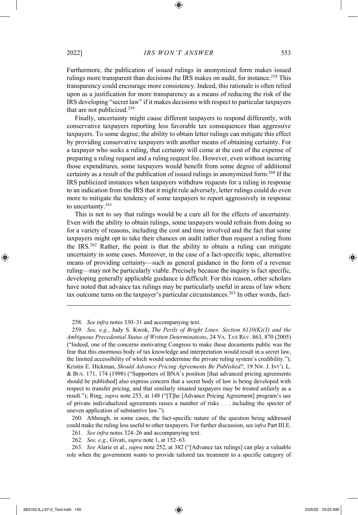Furthermore, the publication of issued rulings in anonymized form makes issued rulings more transparent than decisions the IRS makes on audit, for instance.<sup>258</sup> This transparency could encourage more consistency. Indeed, this rationale is often relied upon as a justification for more transparency as a means of reducing the risk of the IRS developing "secret law" if it makes decisions with respect to particular taxpayers that are not publicized.<sup>259</sup>

Finally, uncertainty might cause different taxpayers to respond differently, with conservative taxpayers reporting less favorable tax consequences than aggressive taxpayers. To some degree, the ability to obtain letter rulings can mitigate this effect by providing conservative taxpayers with another means of obtaining certainty. For a taxpayer who seeks a ruling, that certainty will come at the cost of the expense of preparing a ruling request and a ruling request fee. However, even without incurring those expenditures, some taxpayers would benefit from some degree of additional certainty as a result of the publication of issued rulings in anonymized form.<sup>260</sup> If the IRS publicized instances when taxpayers withdraw requests for a ruling in response to an indication from the IRS that it might rule adversely, letter rulings could do even more to mitigate the tendency of some taxpayers to report aggressively in response to uncertainty.<sup>261</sup>

This is not to say that rulings would be a cure all for the effects of uncertainty. Even with the ability to obtain rulings, some taxpayers would refrain from doing so for a variety of reasons, including the cost and time involved and the fact that some taxpayers might opt to take their chances on audit rather than request a ruling from the IRS.<sup>262</sup> Rather, the point is that the ability to obtain a ruling can mitigate uncertainty in some cases. Moreover, in the case of a fact-specific topic, alternative means of providing certainty—such as general guidance in the form of a revenue ruling—may not be particularly viable. Precisely because the inquiry is fact specific, developing generally applicable guidance is difficult. For this reason, other scholars have noted that advance tax rulings may be particularly useful in areas of law where tax outcome turns on the taxpayer's particular circumstances.<sup>263</sup> In other words, fact-

258. *See infra* notes 330–31 and accompanying text.

260. Although, in some cases, the fact-specific nature of the question being addressed could make the ruling less useful to other taxpayers. For further discussion, see *infra* Part III.E.

261. *See infra* notes 324–26 and accompanying text.

262. *See, e.g.*, Givati, *supra* note 1, at 152–63.

263. *See* Alarie et al., *supra* note 252, at 382 ("[Advance tax rulings] can play a valuable role when the government wants to provide tailored tax treatment to a specific category of

<sup>259.</sup> *See, e.g.*, Judy S. Kwok, *The Perils of Bright Lines: Section 6110(K)(3) and the Ambiguous Precedential Status of Written Determinations*, 24 VA. TAX REV. 863, 870 (2005) ("Indeed, one of the concerns motivating Congress to make these documents public was the fear that this enormous body of tax knowledge and interpretation would result in a secret law, the limited accessibility of which would undermine the private ruling system's credibility."); Kristin E. Hickman, *Should Advance Pricing Agreements Be Published?*, 19 NW. J. INT'L L. & BUS. 171, 174 (1998) ("Supporters of BNA's position [that advanced pricing agreements should be published] also express concern that a secret body of law is being developed with respect to transfer pricing, and that similarly situated taxpayers may be treated unfairly as a result."); Ring, *supra* note 253, at 148 ("[T]he [Advance Pricing Agreement] program's use of private individualized agreements raises a number of risks . . . including the specter of uneven application of substantive law.").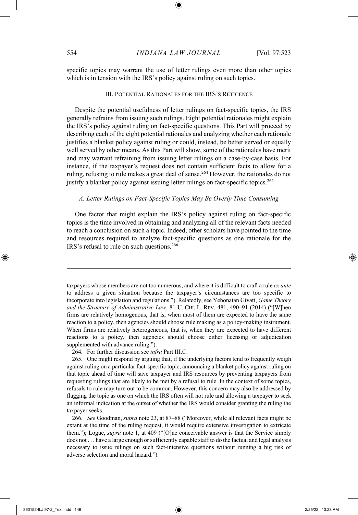specific topics may warrant the use of letter rulings even more than other topics which is in tension with the IRS's policy against ruling on such topics.

## III. POTENTIAL RATIONALES FOR THE IRS'S RETICENCE

Despite the potential usefulness of letter rulings on fact-specific topics, the IRS generally refrains from issuing such rulings. Eight potential rationales might explain the IRS's policy against ruling on fact-specific questions. This Part will proceed by describing each of the eight potential rationales and analyzing whether each rationale justifies a blanket policy against ruling or could, instead, be better served or equally well served by other means. As this Part will show, some of the rationales have merit and may warrant refraining from issuing letter rulings on a case-by-case basis. For instance, if the taxpayer's request does not contain sufficient facts to allow for a ruling, refusing to rule makes a great deal of sense.<sup>264</sup> However, the rationales do not justify a blanket policy against issuing letter rulings on fact-specific topics.<sup>265</sup>

## *A. Letter Rulings on Fact-Specific Topics May Be Overly Time Consuming*

One factor that might explain the IRS's policy against ruling on fact-specific topics is the time involved in obtaining and analyzing all of the relevant facts needed to reach a conclusion on such a topic. Indeed, other scholars have pointed to the time and resources required to analyze fact-specific questions as one rationale for the IRS's refusal to rule on such questions.<sup>266</sup>

taxpayers whose members are not too numerous, and where it is difficult to craft a rule *ex ante*  to address a given situation because the taxpayer's circumstances are too specific to incorporate into legislation and regulations."). Relatedly, see Yehonatan Givati, *Game Theory*  and the Structure of Administrative Law, 81 U. CHI. L. REV. 481, 490-91 (2014) ("[W]hen firms are relatively homogenous, that is, when most of them are expected to have the same reaction to a policy, then agencies should choose rule making as a policy-making instrument. When firms are relatively heterogeneous, that is, when they are expected to have different reactions to a policy, then agencies should choose either licensing or adjudication supplemented with advance ruling.").

264. For further discussion see *infra* Part III.C.

265. One might respond by arguing that, if the underlying factors tend to frequently weigh against ruling on a particular fact-specific topic, announcing a blanket policy against ruling on that topic ahead of time will save taxpayer and IRS resources by preventing taxpayers from requesting rulings that are likely to be met by a refusal to rule. In the context of some topics, refusals to rule may turn out to be common. However, this concern may also be addressed by flagging the topic as one on which the IRS often will not rule and allowing a taxpayer to seek an informal indication at the outset of whether the IRS would consider granting the ruling the taxpayer seeks.

266. *See* Goodman, *supra* note 23, at 87–88 ("Moreover, while all relevant facts might be extant at the time of the ruling request, it would require extensive investigation to extricate them."); Logue, *supra* note 1, at 409 ("[O]ne conceivable answer is that the Service simply does not . . . have a large enough or sufficiently capable staff to do the factual and legal analysis necessary to issue rulings on such fact-intensive questions without running a big risk of adverse selection and moral hazard.").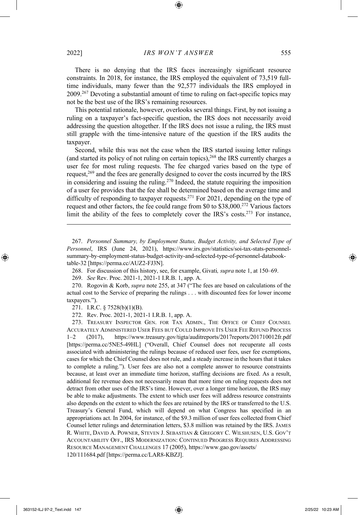There is no denying that the IRS faces increasingly significant resource constraints. In 2018, for instance, the IRS employed the equivalent of 73,519 fulltime individuals, many fewer than the 92,577 individuals the IRS employed in 2009.<sup>267</sup> Devoting a substantial amount of time to ruling on fact-specific topics may not be the best use of the IRS's remaining resources.

This potential rationale, however, overlooks several things. First, by not issuing a ruling on a taxpayer's fact-specific question, the IRS does not necessarily avoid addressing the question altogether. If the IRS does not issue a ruling, the IRS must still grapple with the time-intensive nature of the question if the IRS audits the taxpayer.

Second, while this was not the case when the IRS started issuing letter rulings (and started its policy of not ruling on certain topics),<sup>268</sup> the IRS currently charges a user fee for most ruling requests. The fee charged varies based on the type of request,<sup>269</sup> and the fees are generally designed to cover the costs incurred by the IRS in considering and issuing the ruling.<sup>270</sup> Indeed, the statute requiring the imposition of a user fee provides that the fee shall be determined based on the average time and difficulty of responding to taxpayer requests.<sup>271</sup> For 2021, depending on the type of request and other factors, the fee could range from \$0 to \$38,000.<sup>272</sup> Various factors limit the ability of the fees to completely cover the IRS's costs.<sup>273</sup> For instance,

267. *Personnel Summary, by Employment Status, Budget Activity, and Selected Type of Personnel*, IRS (June 24, 2021), https://www.irs.gov/statistics/soi-tax-stats-personnelsummary-by-employment-status-budget-activity-and-selected-type-of-personnel-databooktable-32 [https://perma.cc/AUZ2-FJ3N].

268. For discussion of this history, see, for example, Givati*, supra* note 1, at 150–69.

269. *See* Rev. Proc. 2021-1, 2021-1 I.R.B. 1, app. A.

270. Rogovin & Korb, *supra* note 255, at 347 ("The fees are based on calculations of the actual cost to the Service of preparing the rulings . . . with discounted fees for lower income taxpayers.").

271. I.R.C. § 7528(b)(1)(B).

272. Rev. Proc. 2021-1, 2021-1 I.R.B. 1, app. A.

273. TREASURY INSPECTOR GEN. FOR TAX ADMIN., THE OFFICE OF CHIEF COUNSEL ACCURATELY ADMINISTERED USER FEES BUT COULD IMPROVE ITS USER FEE REFUND PROCESS 1–2 (2017), https://www.treasury.gov/tigta/auditreports/2017reports/201710012fr.pdf [https://perma.cc/5NE5-49HL] ("Overall, Chief Counsel does not recuperate all costs associated with administering the rulings because of reduced user fees, user fee exemptions, cases for which the Chief Counsel does not rule, and a steady increase in the hours that it takes to complete a ruling."). User fees are also not a complete answer to resource constraints because, at least over an immediate time horizon, staffing decisions are fixed. As a result, additional fee revenue does not necessarily mean that more time on ruling requests does not detract from other uses of the IRS's time. However, over a longer time horizon, the IRS may be able to make adjustments. The extent to which user fees will address resource constraints also depends on the extent to which the fees are retained by the IRS or transferred to the U.S. Treasury's General Fund, which will depend on what Congress has specified in an appropriations act. In 2004, for instance, of the \$9.3 million of user fees collected from Chief Counsel letter rulings and determination letters, \$3.8 million was retained by the IRS. JAMES R. WHITE, DAVID A. POWNER, STEVEN J. SEBASTIAN & GREGORY C. WILSHUSEN, U.S. GOV'T ACCOUNTABILITY OFF., IRS MODERNIZATION: CONTINUED PROGRESS REQUIRES ADDRESSING RESOURCE MANAGEMENT CHALLENGES 17 (2005), https://www.gao.gov/assets/ 120/111684.pdf [https://perma.cc/LAR8-KBZJ].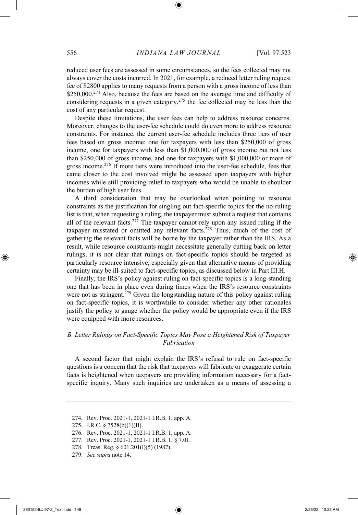reduced user fees are assessed in some circumstances, so the fees collected may not always cover the costs incurred. In 2021, for example, a reduced letter ruling request fee of \$2800 applies to many requests from a person with a gross income of less than \$250,000.<sup>274</sup> Also, because the fees are based on the average time and difficulty of considering requests in a given category,<sup>275</sup> the fee collected may be less than the cost of any particular request.

Despite these limitations, the user fees can help to address resource concerns. Moreover, changes to the user-fee schedule could do even more to address resource constraints. For instance, the current user-fee schedule includes three tiers of user fees based on gross income: one for taxpayers with less than \$250,000 of gross income, one for taxpayers with less than \$1,000,000 of gross income but not less than \$250,000 of gross income, and one for taxpayers with \$1,000,000 or more of gross income.<sup>276</sup> If more tiers were introduced into the user-fee schedule, fees that came closer to the cost involved might be assessed upon taxpayers with higher incomes while still providing relief to taxpayers who would be unable to shoulder the burden of high user fees.

A third consideration that may be overlooked when pointing to resource constraints as the justification for singling out fact-specific topics for the no-ruling list is that, when requesting a ruling, the taxpayer must submit a request that contains all of the relevant facts.<sup>277</sup> The taxpayer cannot rely upon any issued ruling if the taxpayer misstated or omitted any relevant facts.<sup>278</sup> Thus, much of the cost of gathering the relevant facts will be borne by the taxpayer rather than the IRS. As a result, while resource constraints might necessitate generally cutting back on letter rulings, it is not clear that rulings on fact-specific topics should be targeted as particularly resource intensive, especially given that alternative means of providing certainty may be ill-suited to fact-specific topics, as discussed below in Part III.H.

Finally, the IRS's policy against ruling on fact-specific topics is a long-standing one that has been in place even during times when the IRS's resource constraints were not as stringent.<sup>279</sup> Given the longstanding nature of this policy against ruling on fact-specific topics, it is worthwhile to consider whether any other rationales justify the policy to gauge whether the policy would be appropriate even if the IRS were equipped with more resources.

## *B. Letter Rulings on Fact-Specific Topics May Pose a Heightened Risk of Taxpayer Fabrication*

A second factor that might explain the IRS's refusal to rule on fact-specific questions is a concern that the risk that taxpayers will fabricate or exaggerate certain facts is heightened when taxpayers are providing information necessary for a factspecific inquiry. Many such inquiries are undertaken as a means of assessing a

275. I.R.C. § 7528(b)(1)(B).

- 277. Rev. Proc. 2021-1, 2021-1 I.R.B. 1, § 7.01.
- 278. Treas. Reg. § 601.201(l)(5) (1987).
- 279. *See supra* note 14.

<sup>274.</sup> Rev. Proc. 2021-1, 2021-1 I.R.B. 1, app. A.

<sup>276.</sup> Rev. Proc. 2021-1, 2021-1 I.R.B. 1, app. A.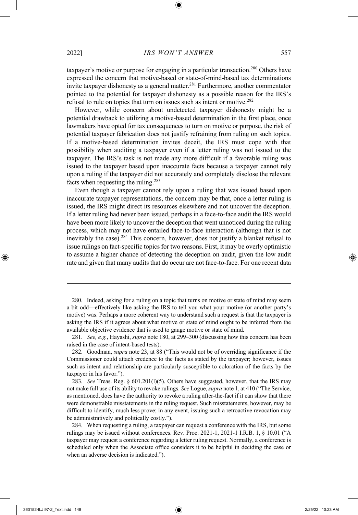taxpayer's motive or purpose for engaging in a particular transaction.<sup>280</sup> Others have expressed the concern that motive-based or state-of-mind-based tax determinations invite taxpayer dishonesty as a general matter.<sup>281</sup> Furthermore, another commentator pointed to the potential for taxpayer dishonesty as a possible reason for the IRS's refusal to rule on topics that turn on issues such as intent or motive.<sup>282</sup>

However, while concern about undetected taxpayer dishonesty might be a potential drawback to utilizing a motive-based determination in the first place, once lawmakers have opted for tax consequences to turn on motive or purpose, the risk of potential taxpayer fabrication does not justify refraining from ruling on such topics. If a motive-based determination invites deceit, the IRS must cope with that possibility when auditing a taxpayer even if a letter ruling was not issued to the taxpayer. The IRS's task is not made any more difficult if a favorable ruling was issued to the taxpayer based upon inaccurate facts because a taxpayer cannot rely upon a ruling if the taxpayer did not accurately and completely disclose the relevant facts when requesting the ruling.<sup>283</sup>

Even though a taxpayer cannot rely upon a ruling that was issued based upon inaccurate taxpayer representations, the concern may be that, once a letter ruling is issued, the IRS might direct its resources elsewhere and not uncover the deception. If a letter ruling had never been issued, perhaps in a face-to-face audit the IRS would have been more likely to uncover the deception that went unnoticed during the ruling process, which may not have entailed face-to-face interaction (although that is not inevitably the case).<sup>284</sup> This concern, however, does not justify a blanket refusal to issue rulings on fact-specific topics for two reasons. First, it may be overly optimistic to assume a higher chance of detecting the deception on audit, given the low audit rate and given that many audits that do occur are not face-to-face. For one recent data

284. When requesting a ruling, a taxpayer can request a conference with the IRS, but some rulings may be issued without conferences. Rev. Proc. 2021-1, 2021-1 I.R.B. 1, § 10.01 ("A taxpayer may request a conference regarding a letter ruling request. Normally, a conference is scheduled only when the Associate office considers it to be helpful in deciding the case or when an adverse decision is indicated.").

<sup>280.</sup> Indeed, asking for a ruling on a topic that turns on motive or state of mind may seem a bit odd—effectively like asking the IRS to tell you what your motive (or another party's motive) was. Perhaps a more coherent way to understand such a request is that the taxpayer is asking the IRS if it agrees about what motive or state of mind ought to be inferred from the available objective evidence that is used to gauge motive or state of mind.

<sup>281.</sup> *See, e.g.*, Hayashi, *supra* note 180, at 299–300 (discussing how this concern has been raised in the case of intent-based tests).

<sup>282.</sup> Goodman, *supra* note 23, at 88 ("This would not be of overriding significance if the Commissioner could attach credence to the facts as stated by the taxpayer; however, issues such as intent and relationship are particularly susceptible to coloration of the facts by the taxpayer in his favor.").

<sup>283.</sup> *See* Treas. Reg. § 601.201(l)(5). Others have suggested, however, that the IRS may not make full use of its ability to revoke rulings. *See* Logue, *supra* note 1, at 410 ("The Service, as mentioned, does have the authority to revoke a ruling after-the-fact if it can show that there were demonstrable misstatements in the ruling request. Such misstatements, however, may be difficult to identify, much less prove; in any event, issuing such a retroactive revocation may be administratively and politically costly.").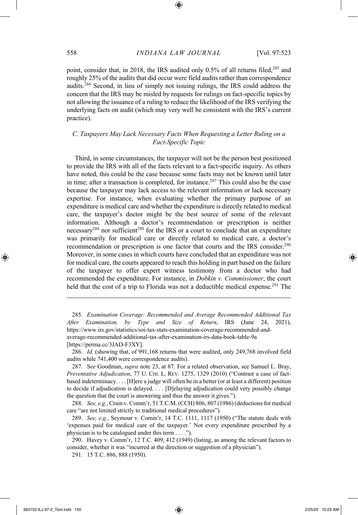point, consider that, in 2018, the IRS audited only 0.5% of all returns filed,<sup>285</sup> and roughly 25% of the audits that did occur were field audits rather than correspondence audits.<sup>286</sup> Second, in lieu of simply not issuing rulings, the IRS could address the concern that the IRS may be misled by requests for rulings on fact-specific topics by not allowing the issuance of a ruling to reduce the likelihood of the IRS verifying the underlying facts on audit (which may very well be consistent with the IRS's current practice).

## *C. Taxpayers May Lack Necessary Facts When Requesting a Letter Ruling on a Fact-Specific Topic*

Third, in some circumstances, the taxpayer will not be the person best positioned to provide the IRS with all of the facts relevant to a fact-specific inquiry. As others have noted, this could be the case because some facts may not be known until later in time; after a transaction is completed, for instance.<sup>287</sup> This could also be the case because the taxpayer may lack access to the relevant information or lack necessary expertise. For instance, when evaluating whether the primary purpose of an expenditure is medical care and whether the expenditure is directly related to medical care, the taxpayer's doctor might be the best source of some of the relevant information. Although a doctor's recommendation or prescription is neither necessary<sup>288</sup> nor sufficient<sup>289</sup> for the IRS or a court to conclude that an expenditure was primarily for medical care or directly related to medical care, a doctor's recommendation or prescription is one factor that courts and the IRS consider.<sup>290</sup> Moreover, in some cases in which courts have concluded that an expenditure was not for medical care, the courts appeared to reach this holding in part based on the failure of the taxpayer to offer expert witness testimony from a doctor who had recommended the expenditure. For instance, in *Dobkin v. Commissioner*, the court held that the cost of a trip to Florida was not a deductible medical expense.<sup>291</sup> The

285. *Examination Coverage: Recommended and Average Recommended Additional Tax After Examination, by Type and Size of Return*, IRS (June 24, 2021), https://www.irs.gov/statistics/soi-tax-stats-examination-coverage-recommended-andaverage-recommended-additional-tax-after-examination-irs-data-book-table-9a [https://perma.cc/3JAD-F3XY].

286. *Id.* (showing that, of 991,168 returns that were audited, only 249,768 involved field audits while 741,400 were correspondence audits).

287. S*ee* Goodman, *supra* note 23, at 87. For a related observation, see Samuel L. Bray, *Preventative Adjudication*, 77 U. CHI. L. REV. 1275, 1329 (2010) ("Contrast a case of factbased indeterminacy. . . . [H]ere a judge will often be in a better (or at least a different) position to decide if adjudication is delayed. . . . [D]elaying adjudication could very possibly change the question that the court is answering and thus the answer it gives.").

288. *See, e.g.*, Crain v. Comm'r, 51 T.C.M. (CCH) 806, 807 (1986) (deductions for medical care "are not limited strictly to traditional medical procedures").

289. *See, e.g.*, Seymour v. Comm'r, 14 T.C. 1111, 1117 (1950) ("The statute deals with 'expenses paid for medical care of the taxpayer.' Not every expenditure prescribed by a physician is to be catalogued under this term . . . .").

290. Havey v. Comm'r, 12 T.C. 409, 412 (1949) (listing, as among the relevant factors to consider, whether it was "incurred at the direction or suggestion of a physician").

291. 15 T.C. 886, 888 (1950).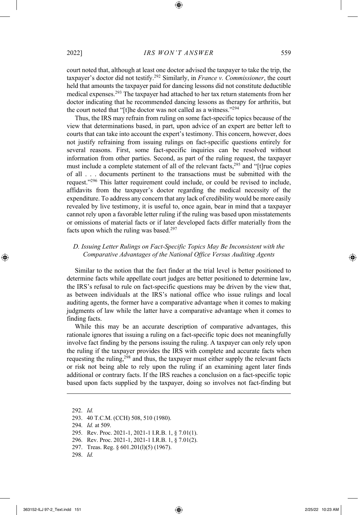court noted that, although at least one doctor advised the taxpayer to take the trip, the taxpayer's doctor did not testify.<sup>292</sup> Similarly, in *France v. Commissioner*, the court held that amounts the taxpayer paid for dancing lessons did not constitute deductible medical expenses.<sup>293</sup> The taxpayer had attached to her tax return statements from her doctor indicating that he recommended dancing lessons as therapy for arthritis, but the court noted that "[t]he doctor was not called as a witness."<sup>294</sup>

Thus, the IRS may refrain from ruling on some fact-specific topics because of the view that determinations based, in part, upon advice of an expert are better left to courts that can take into account the expert's testimony. This concern, however, does not justify refraining from issuing rulings on fact-specific questions entirely for several reasons. First, some fact-specific inquiries can be resolved without information from other parties. Second, as part of the ruling request, the taxpayer must include a complete statement of all of the relevant facts,<sup>295</sup> and "[t]rue copies of all . . . documents pertinent to the transactions must be submitted with the request."<sup>296</sup> This latter requirement could include, or could be revised to include, affidavits from the taxpayer's doctor regarding the medical necessity of the expenditure. To address any concern that any lack of credibility would be more easily revealed by live testimony, it is useful to, once again, bear in mind that a taxpayer cannot rely upon a favorable letter ruling if the ruling was based upon misstatements or omissions of material facts or if later developed facts differ materially from the facts upon which the ruling was based. 297

## *D. Issuing Letter Rulings on Fact-Specific Topics May Be Inconsistent with the Comparative Advantages of the National Office Versus Auditing Agents*

Similar to the notion that the fact finder at the trial level is better positioned to determine facts while appellate court judges are better positioned to determine law, the IRS's refusal to rule on fact-specific questions may be driven by the view that, as between individuals at the IRS's national office who issue rulings and local auditing agents, the former have a comparative advantage when it comes to making judgments of law while the latter have a comparative advantage when it comes to finding facts.

While this may be an accurate description of comparative advantages, this rationale ignores that issuing a ruling on a fact-specific topic does not meaningfully involve fact finding by the persons issuing the ruling. A taxpayer can only rely upon the ruling if the taxpayer provides the IRS with complete and accurate facts when requesting the ruling,<sup>298</sup> and thus, the taxpayer must either supply the relevant facts or risk not being able to rely upon the ruling if an examining agent later finds additional or contrary facts. If the IRS reaches a conclusion on a fact-specific topic based upon facts supplied by the taxpayer, doing so involves not fact-finding but

292. *Id.*

294. *Id.* at 509.

- 296. Rev. Proc. 2021-1, 2021-1 I.R.B. 1, § 7.01(2).
- 297. Treas. Reg. § 601.201(l)(5) (1967).

298. *Id.*

<sup>293.</sup> 40 T.C.M. (CCH) 508, 510 (1980).

<sup>295.</sup> Rev. Proc. 2021-1, 2021-1 I.R.B. 1, § 7.01(1).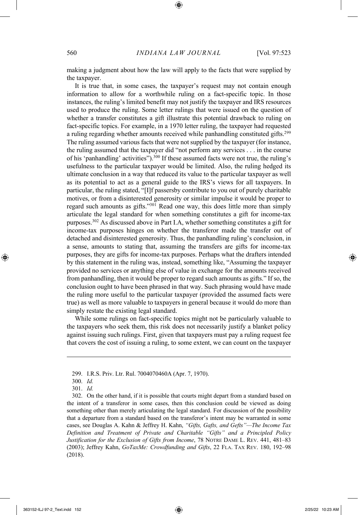making a judgment about how the law will apply to the facts that were supplied by the taxpayer.

It is true that, in some cases, the taxpayer's request may not contain enough information to allow for a worthwhile ruling on a fact-specific topic. In those instances, the ruling's limited benefit may not justify the taxpayer and IRS resources used to produce the ruling. Some letter rulings that were issued on the question of whether a transfer constitutes a gift illustrate this potential drawback to ruling on fact-specific topics. For example, in a 1970 letter ruling, the taxpayer had requested a ruling regarding whether amounts received while panhandling constituted gifts.<sup>299</sup> The ruling assumed various facts that were not supplied by the taxpayer (for instance, the ruling assumed that the taxpayer did "not perform any services . . . in the course of his 'panhandling' activities").<sup>300</sup> If these assumed facts were not true, the ruling's usefulness to the particular taxpayer would be limited. Also, the ruling hedged its ultimate conclusion in a way that reduced its value to the particular taxpayer as well as its potential to act as a general guide to the IRS's views for all taxpayers. In particular, the ruling stated, "[I]f passersby contribute to you out of purely charitable motives, or from a disinterested generosity or similar impulse it would be proper to regard such amounts as gifts."<sup>301</sup> Read one way, this does little more than simply articulate the legal standard for when something constitutes a gift for income-tax purposes.<sup>302</sup> As discussed above in Part I.A, whether something constitutes a gift for income-tax purposes hinges on whether the transferor made the transfer out of detached and disinterested generosity. Thus, the panhandling ruling's conclusion, in a sense, amounts to stating that, assuming the transfers are gifts for income-tax purposes, they are gifts for income-tax purposes. Perhaps what the drafters intended by this statement in the ruling was, instead, something like, "Assuming the taxpayer provided no services or anything else of value in exchange for the amounts received from panhandling, then it would be proper to regard such amounts as gifts." If so, the conclusion ought to have been phrased in that way. Such phrasing would have made the ruling more useful to the particular taxpayer (provided the assumed facts were true) as well as more valuable to taxpayers in general because it would do more than simply restate the existing legal standard.

While some rulings on fact-specific topics might not be particularly valuable to the taxpayers who seek them, this risk does not necessarily justify a blanket policy against issuing such rulings. First, given that taxpayers must pay a ruling request fee that covers the cost of issuing a ruling, to some extent, we can count on the taxpayer

<sup>299.</sup> I.R.S. Priv. Ltr. Rul. 7004070460A (Apr. 7, 1970).

<sup>300.</sup> *Id.*

<sup>301.</sup> *Id.*

<sup>302.</sup> On the other hand, if it is possible that courts might depart from a standard based on the intent of a transferor in some cases, then this conclusion could be viewed as doing something other than merely articulating the legal standard. For discussion of the possibility that a departure from a standard based on the transferor's intent may be warranted in some cases, see Douglas A. Kahn & Jeffrey H. Kahn, *"Gifts, Gafts, and Gefts"—The Income Tax Definition and Treatment of Private and Charitable "Gifts" and a Principled Policy Justification for the Exclusion of Gifts from Income*, 78 NOTRE DAME L. REV. 441, 481–83 (2003); Jeffrey Kahn, *GoTaxMe: Crowdfunding and Gifts*, 22 FLA. TAX REV. 180, 192–98 (2018).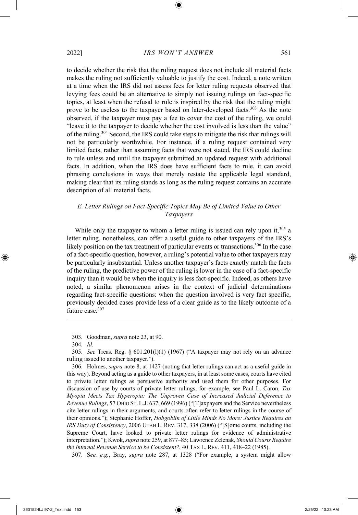to decide whether the risk that the ruling request does not include all material facts makes the ruling not sufficiently valuable to justify the cost. Indeed, a note written at a time when the IRS did not assess fees for letter ruling requests observed that levying fees could be an alternative to simply not issuing rulings on fact-specific topics, at least when the refusal to rule is inspired by the risk that the ruling might prove to be useless to the taxpayer based on later-developed facts.<sup>303</sup> As the note observed, if the taxpayer must pay a fee to cover the cost of the ruling, we could "leave it to the taxpayer to decide whether the cost involved is less than the value" of the ruling.<sup>304</sup> Second, the IRS could take steps to mitigate the risk that rulings will not be particularly worthwhile. For instance, if a ruling request contained very limited facts, rather than assuming facts that were not stated, the IRS could decline to rule unless and until the taxpayer submitted an updated request with additional facts. In addition, when the IRS does have sufficient facts to rule, it can avoid phrasing conclusions in ways that merely restate the applicable legal standard, making clear that its ruling stands as long as the ruling request contains an accurate description of all material facts.

## *E. Letter Rulings on Fact-Specific Topics May Be of Limited Value to Other Taxpayers*

While only the taxpayer to whom a letter ruling is issued can rely upon it,<sup>305</sup> a letter ruling, nonetheless, can offer a useful guide to other taxpayers of the IRS's likely position on the tax treatment of particular events or transactions.<sup>306</sup> In the case of a fact-specific question, however, a ruling's potential value to other taxpayers may be particularly insubstantial. Unless another taxpayer's facts exactly match the facts of the ruling, the predictive power of the ruling is lower in the case of a fact-specific inquiry than it would be when the inquiry is less fact-specific. Indeed, as others have noted, a similar phenomenon arises in the context of judicial determinations regarding fact-specific questions: when the question involved is very fact specific, previously decided cases provide less of a clear guide as to the likely outcome of a future case.<sup>307</sup>

306. Holmes, *supra* note 8, at 1427 (noting that letter rulings can act as a useful guide in this way). Beyond acting as a guide to other taxpayers, in at least some cases, courts have cited to private letter rulings as persuasive authority and used them for other purposes. For discussion of use by courts of private letter rulings, for example, see Paul L. Caron, *Tax Myopia Meets Tax Hyperopia: The Unproven Case of Increased Judicial Deference to Revenue Rulings*, 57 OHIO ST. L.J. 637, 669 (1996) ("[T]axpayers and the Service nevertheless cite letter rulings in their arguments, and courts often refer to letter rulings in the course of their opinions."); Stephanie Hoffer, *Hobgoblin of Little Minds No More: Justice Requires an IRS Duty of Consistency*, 2006 UTAH L. REV. 317, 338 (2006) ("[S]ome courts, including the Supreme Court, have looked to private letter rulings for evidence of administrative interpretation."); Kwok, *supra* note 259, at 877–85; Lawrence Zelenak, *Should Courts Require the Internal Revenue Service to be Consistent?*, 40 TAX L. REV. 411, 418–22 (1985).

307. S*ee, e.g.*, Bray, *supra* note 287, at 1328 ("For example, a system might allow

<sup>303.</sup> Goodman, *supra* note 23, at 90.

<sup>304.</sup> *Id.*

<sup>305.</sup> *See* Treas. Reg. § 601.201(l)(1) (1967) ("A taxpayer may not rely on an advance ruling issued to another taxpayer.").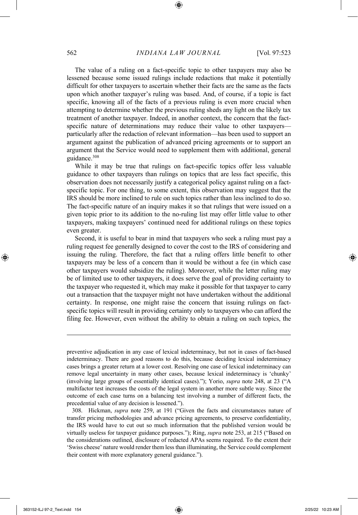The value of a ruling on a fact-specific topic to other taxpayers may also be lessened because some issued rulings include redactions that make it potentially difficult for other taxpayers to ascertain whether their facts are the same as the facts upon which another taxpayer's ruling was based. And, of course, if a topic is fact specific, knowing all of the facts of a previous ruling is even more crucial when attempting to determine whether the previous ruling sheds any light on the likely tax treatment of another taxpayer. Indeed, in another context, the concern that the factspecific nature of determinations may reduce their value to other taxpayers particularly after the redaction of relevant information—has been used to support an argument against the publication of advanced pricing agreements or to support an argument that the Service would need to supplement them with additional, general guidance.<sup>308</sup>

While it may be true that rulings on fact-specific topics offer less valuable guidance to other taxpayers than rulings on topics that are less fact specific, this observation does not necessarily justify a categorical policy against ruling on a factspecific topic. For one thing, to some extent, this observation may suggest that the IRS should be more inclined to rule on such topics rather than less inclined to do so. The fact-specific nature of an inquiry makes it so that rulings that were issued on a given topic prior to its addition to the no-ruling list may offer little value to other taxpayers, making taxpayers' continued need for additional rulings on these topics even greater.

Second, it is useful to bear in mind that taxpayers who seek a ruling must pay a ruling request fee generally designed to cover the cost to the IRS of considering and issuing the ruling. Therefore, the fact that a ruling offers little benefit to other taxpayers may be less of a concern than it would be without a fee (in which case other taxpayers would subsidize the ruling). Moreover, while the letter ruling may be of limited use to other taxpayers, it does serve the goal of providing certainty to the taxpayer who requested it, which may make it possible for that taxpayer to carry out a transaction that the taxpayer might not have undertaken without the additional certainty. In response, one might raise the concern that issuing rulings on factspecific topics will result in providing certainty only to taxpayers who can afford the filing fee. However, even without the ability to obtain a ruling on such topics, the

308. Hickman, *supra* note 259, at 191 ("Given the facts and circumstances nature of transfer pricing methodologies and advance pricing agreements, to preserve confidentiality, the IRS would have to cut out so much information that the published version would be virtually useless for taxpayer guidance purposes."); Ring, *supra* note 253, at 215 ("Based on the considerations outlined, disclosure of redacted APAs seems required. To the extent their 'Swiss cheese' nature would render them less than illuminating, the Service could complement their content with more explanatory general guidance.").

preventive adjudication in any case of lexical indeterminacy, but not in cases of fact-based indeterminacy. There are good reasons to do this, because deciding lexical indeterminacy cases brings a greater return at a lower cost. Resolving one case of lexical indeterminacy can remove legal uncertainty in many other cases, because lexical indeterminacy is 'chunky' (involving large groups of essentially identical cases)."); Yorio, *supra* note 248, at 23 ("A multifactor test increases the costs of the legal system in another more subtle way. Since the outcome of each case turns on a balancing test involving a number of different facts, the precedential value of any decision is lessened.").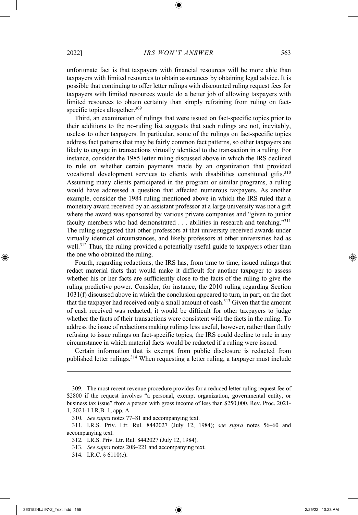unfortunate fact is that taxpayers with financial resources will be more able than taxpayers with limited resources to obtain assurances by obtaining legal advice. It is possible that continuing to offer letter rulings with discounted ruling request fees for taxpayers with limited resources would do a better job of allowing taxpayers with limited resources to obtain certainty than simply refraining from ruling on factspecific topics altogether.<sup>309</sup>

Third, an examination of rulings that were issued on fact-specific topics prior to their additions to the no-ruling list suggests that such rulings are not, inevitably, useless to other taxpayers. In particular, some of the rulings on fact-specific topics address fact patterns that may be fairly common fact patterns, so other taxpayers are likely to engage in transactions virtually identical to the transaction in a ruling. For instance, consider the 1985 letter ruling discussed above in which the IRS declined to rule on whether certain payments made by an organization that provided vocational development services to clients with disabilities constituted gifts.<sup>310</sup> Assuming many clients participated in the program or similar programs, a ruling would have addressed a question that affected numerous taxpayers. As another example, consider the 1984 ruling mentioned above in which the IRS ruled that a monetary award received by an assistant professor at a large university was not a gift where the award was sponsored by various private companies and "given to junior faculty members who had demonstrated . . . abilities in research and teaching."<sup>311</sup> The ruling suggested that other professors at that university received awards under virtually identical circumstances, and likely professors at other universities had as well.<sup>312</sup> Thus, the ruling provided a potentially useful guide to taxpayers other than the one who obtained the ruling.

Fourth, regarding redactions, the IRS has, from time to time, issued rulings that redact material facts that would make it difficult for another taxpayer to assess whether his or her facts are sufficiently close to the facts of the ruling to give the ruling predictive power. Consider, for instance, the 2010 ruling regarding Section 1031(f) discussed above in which the conclusion appeared to turn, in part, on the fact that the taxpayer had received only a small amount of cash.<sup>313</sup> Given that the amount of cash received was redacted, it would be difficult for other taxpayers to judge whether the facts of their transactions were consistent with the facts in the ruling. To address the issue of redactions making rulings less useful, however, rather than flatly refusing to issue rulings on fact-specific topics, the IRS could decline to rule in any circumstance in which material facts would be redacted if a ruling were issued.

Certain information that is exempt from public disclosure is redacted from published letter rulings.<sup>314</sup> When requesting a letter ruling, a taxpayer must include

<sup>309.</sup> The most recent revenue procedure provides for a reduced letter ruling request fee of \$2800 if the request involves "a personal, exempt organization, governmental entity, or business tax issue" from a person with gross income of less than \$250,000. Rev. Proc. 2021- 1, 2021-1 I.R.B. 1, app. A.

<sup>310.</sup> *See supra* notes 77–81 and accompanying text.

<sup>311.</sup> I.R.S. Priv. Ltr. Rul. 8442027 (July 12, 1984); *see supra* notes 56–60 and accompanying text.

<sup>312.</sup> I.R.S. Priv. Ltr. Rul. 8442027 (July 12, 1984).

<sup>313.</sup> *See supra* notes 208–221 and accompanying text.

<sup>314.</sup> I.R.C. § 6110(c).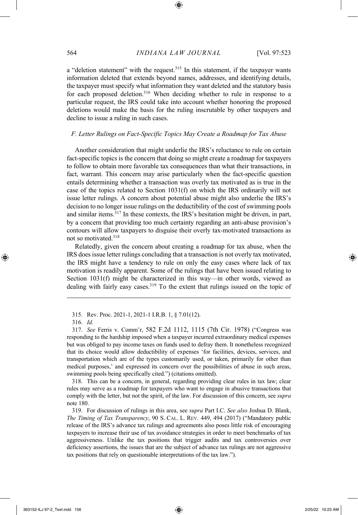a "deletion statement" with the request.<sup>315</sup> In this statement, if the taxpayer wants information deleted that extends beyond names, addresses, and identifying details, the taxpayer must specify what information they want deleted and the statutory basis for each proposed deletion.<sup>316</sup> When deciding whether to rule in response to a particular request, the IRS could take into account whether honoring the proposed deletions would make the basis for the ruling inscrutable by other taxpayers and decline to issue a ruling in such cases.

#### *F. Letter Rulings on Fact-Specific Topics May Create a Roadmap for Tax Abuse*

Another consideration that might underlie the IRS's reluctance to rule on certain fact-specific topics is the concern that doing so might create a roadmap for taxpayers to follow to obtain more favorable tax consequences than what their transactions, in fact, warrant. This concern may arise particularly when the fact-specific question entails determining whether a transaction was overly tax motivated as is true in the case of the topics related to Section 1031(f) on which the IRS ordinarily will not issue letter rulings. A concern about potential abuse might also underlie the IRS's decision to no longer issue rulings on the deductibility of the cost of swimming pools and similar items.<sup>317</sup> In these contexts, the IRS's hesitation might be driven, in part, by a concern that providing too much certainty regarding an anti-abuse provision's contours will allow taxpayers to disguise their overly tax-motivated transactions as not so motivated.<sup>318</sup>

Relatedly, given the concern about creating a roadmap for tax abuse, when the IRS does issue letter rulings concluding that a transaction is not overly tax motivated, the IRS might have a tendency to rule on only the easy cases where lack of tax motivation is readily apparent. Some of the rulings that have been issued relating to Section 1031(f) might be characterized in this way—in other words, viewed as dealing with fairly easy cases.<sup>319</sup> To the extent that rulings issued on the topic of

315. Rev. Proc. 2021-1, 2021-1 I.R.B. 1, § 7.01(12).

317. *See* Ferris v. Comm'r, 582 F.2d 1112, 1115 (7th Cir. 1978) ("Congress was responding to the hardship imposed when a taxpayer incurred extraordinary medical expenses but was obliged to pay income taxes on funds used to defray them. It nonetheless recognized that its choice would allow deductibility of expenses 'for facilities, devices, services, and transportation which are of the types customarily used, or taken, primarily for other than medical purposes,' and expressed its concern over the possibilities of abuse in such areas, swimming pools being specifically cited.") (citations omitted).

318. This can be a concern, in general, regarding providing clear rules in tax law; clear rules may serve as a roadmap for taxpayers who want to engage in abusive transactions that comply with the letter, but not the spirit, of the law. For discussion of this concern, see *supra* note 180.

319. For discussion of rulings in this area, see *supra* Part I.C. *See also* Joshua D. Blank, *The Timing of Tax Transparency*, 90 S. CAL. L. REV. 449, 494 (2017) ("Mandatory public release of the IRS's advance tax rulings and agreements also poses little risk of encouraging taxpayers to increase their use of tax avoidance strategies in order to meet benchmarks of tax aggressiveness. Unlike the tax positions that trigger audits and tax controversies over deficiency assertions, the issues that are the subject of advance tax rulings are not aggressive tax positions that rely on questionable interpretations of the tax law.").

<sup>316.</sup> *Id.*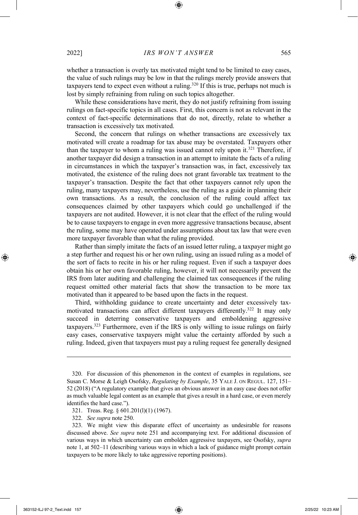whether a transaction is overly tax motivated might tend to be limited to easy cases, the value of such rulings may be low in that the rulings merely provide answers that taxpayers tend to expect even without a ruling.<sup>320</sup> If this is true, perhaps not much is lost by simply refraining from ruling on such topics altogether.

While these considerations have merit, they do not justify refraining from issuing rulings on fact-specific topics in all cases. First, this concern is not as relevant in the context of fact-specific determinations that do not, directly, relate to whether a transaction is excessively tax motivated.

Second, the concern that rulings on whether transactions are excessively tax motivated will create a roadmap for tax abuse may be overstated. Taxpayers other than the taxpayer to whom a ruling was issued cannot rely upon it.<sup>321</sup> Therefore, if another taxpayer did design a transaction in an attempt to imitate the facts of a ruling in circumstances in which the taxpayer's transaction was, in fact, excessively tax motivated, the existence of the ruling does not grant favorable tax treatment to the taxpayer's transaction. Despite the fact that other taxpayers cannot rely upon the ruling, many taxpayers may, nevertheless, use the ruling as a guide in planning their own transactions. As a result, the conclusion of the ruling could affect tax consequences claimed by other taxpayers which could go unchallenged if the taxpayers are not audited. However, it is not clear that the effect of the ruling would be to cause taxpayers to engage in even more aggressive transactions because, absent the ruling, some may have operated under assumptions about tax law that were even more taxpayer favorable than what the ruling provided.

Rather than simply imitate the facts of an issued letter ruling, a taxpayer might go a step further and request his or her own ruling, using an issued ruling as a model of the sort of facts to recite in his or her ruling request. Even if such a taxpayer does obtain his or her own favorable ruling, however, it will not necessarily prevent the IRS from later auditing and challenging the claimed tax consequences if the ruling request omitted other material facts that show the transaction to be more tax motivated than it appeared to be based upon the facts in the request.

Third, withholding guidance to create uncertainty and deter excessively taxmotivated transactions can affect different taxpayers differently.<sup>322</sup> It may only succeed in deterring conservative taxpayers and emboldening aggressive taxpayers.<sup>323</sup> Furthermore, even if the IRS is only willing to issue rulings on fairly easy cases, conservative taxpayers might value the certainty afforded by such a ruling. Indeed, given that taxpayers must pay a ruling request fee generally designed

<sup>320.</sup> For discussion of this phenomenon in the context of examples in regulations, see Susan C. Morse & Leigh Osofsky, *Regulating by Example*, 35 YALE J. ON REGUL. 127, 151– 52 (2018) ("A regulatory example that gives an obvious answer in an easy case does not offer as much valuable legal content as an example that gives a result in a hard case, or even merely identifies the hard case.").

<sup>321.</sup> Treas. Reg. § 601.201(l)(1) (1967).

<sup>322.</sup> *See supra* note 250.

<sup>323.</sup> We might view this disparate effect of uncertainty as undesirable for reasons discussed above. *See supra* note 251 and accompanying text. For additional discussion of various ways in which uncertainty can embolden aggressive taxpayers, see Osofsky, *supra* note 1, at 502–11 (describing various ways in which a lack of guidance might prompt certain taxpayers to be more likely to take aggressive reporting positions).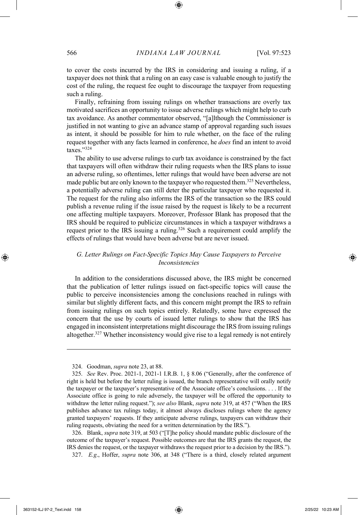to cover the costs incurred by the IRS in considering and issuing a ruling, if a taxpayer does not think that a ruling on an easy case is valuable enough to justify the cost of the ruling, the request fee ought to discourage the taxpayer from requesting such a ruling.

Finally, refraining from issuing rulings on whether transactions are overly tax motivated sacrifices an opportunity to issue adverse rulings which might help to curb tax avoidance. As another commentator observed, "[a]lthough the Commissioner is justified in not wanting to give an advance stamp of approval regarding such issues as intent, it should be possible for him to rule whether, on the face of the ruling request together with any facts learned in conference, he *does* find an intent to avoid taxes."<sup>324</sup>

The ability to use adverse rulings to curb tax avoidance is constrained by the fact that taxpayers will often withdraw their ruling requests when the IRS plans to issue an adverse ruling, so oftentimes, letter rulings that would have been adverse are not made public but are only known to the taxpayer who requested them.<sup>325</sup> Nevertheless, a potentially adverse ruling can still deter the particular taxpayer who requested it. The request for the ruling also informs the IRS of the transaction so the IRS could publish a revenue ruling if the issue raised by the request is likely to be a recurrent one affecting multiple taxpayers. Moreover, Professor Blank has proposed that the IRS should be required to publicize circumstances in which a taxpayer withdraws a request prior to the IRS issuing a ruling.<sup>326</sup> Such a requirement could amplify the effects of rulings that would have been adverse but are never issued.

## *G. Letter Rulings on Fact-Specific Topics May Cause Taxpayers to Perceive Inconsistencies*

In addition to the considerations discussed above, the IRS might be concerned that the publication of letter rulings issued on fact-specific topics will cause the public to perceive inconsistencies among the conclusions reached in rulings with similar but slightly different facts, and this concern might prompt the IRS to refrain from issuing rulings on such topics entirely. Relatedly, some have expressed the concern that the use by courts of issued letter rulings to show that the IRS has engaged in inconsistent interpretations might discourage the IRS from issuing rulings altogether.<sup>327</sup> Whether inconsistency would give rise to a legal remedy is not entirely

326. Blank, *supra* note 319, at 503 ("[T]he policy should mandate public disclosure of the outcome of the taxpayer's request. Possible outcomes are that the IRS grants the request, the IRS denies the request, or the taxpayer withdraws the request prior to a decision by the IRS.").

327. *E.g*., Hoffer, *supra* note 306, at 348 ("There is a third, closely related argument

<sup>324.</sup> Goodman, *supra* note 23, at 88.

<sup>325.</sup> *See* Rev. Proc. 2021-1, 2021-1 I.R.B. 1, § 8.06 ("Generally, after the conference of right is held but before the letter ruling is issued, the branch representative will orally notify the taxpayer or the taxpayer's representative of the Associate office's conclusions. . . . If the Associate office is going to rule adversely, the taxpayer will be offered the opportunity to withdraw the letter ruling request."); *see also* Blank, *supra* note 319, at 457 ("When the IRS publishes advance tax rulings today, it almost always discloses rulings where the agency granted taxpayers' requests. If they anticipate adverse rulings, taxpayers can withdraw their ruling requests, obviating the need for a written determination by the IRS.").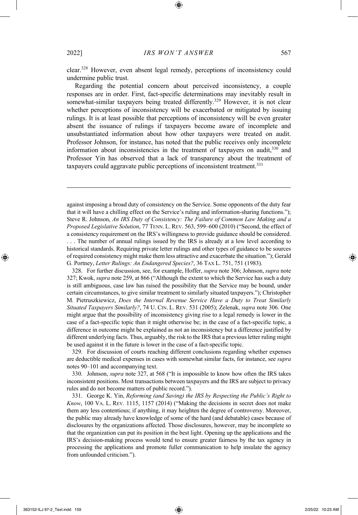clear.<sup>328</sup> However, even absent legal remedy, perceptions of inconsistency could undermine public trust.

Regarding the potential concern about perceived inconsistency, a couple responses are in order. First, fact-specific determinations may inevitably result in somewhat-similar taxpayers being treated differently.<sup>329</sup> However, it is not clear whether perceptions of inconsistency will be exacerbated or mitigated by issuing rulings. It is at least possible that perceptions of inconsistency will be even greater absent the issuance of rulings if taxpayers become aware of incomplete and unsubstantiated information about how other taxpayers were treated on audit. Professor Johnson, for instance, has noted that the public receives only incomplete information about inconsistencies in the treatment of taxpayers on audit,<sup>330</sup> and Professor Yin has observed that a lack of transparency about the treatment of taxpayers could aggravate public perceptions of inconsistent treatment.<sup>331</sup>

against imposing a broad duty of consistency on the Service. Some opponents of the duty fear that it will have a chilling effect on the Service's ruling and information-sharing functions."); Steve R. Johnson, *An IRS Duty of Consistency: The Failure of Common Law Making and a Proposed Legislative Solution*, 77 TENN. L. REV. 563, 599–600 (2010) ("Second, the effect of a consistency requirement on the IRS's willingness to provide guidance should be considered. . . . The number of annual rulings issued by the IRS is already at a low level according to historical standards. Requiring private letter rulings and other types of guidance to be sources of required consistency might make them less attractive and exacerbate the situation."); Gerald G. Portney, *Letter Rulings: An Endangered Species?*, 36 TAX L. 751, 751 (1983).

328. For further discussion, see, for example, Hoffer, *supra* note 306; Johnson, *supra* note 327; Kwok, *supra* note 259, at 866 ("Although the extent to which the Service has such a duty is still ambiguous, case law has raised the possibility that the Service may be bound, under certain circumstances, to give similar treatment to similarly situated taxpayers."); Christopher M. Pietruszkiewicz, *Does the Internal Revenue Service Have a Duty to Treat Similarly Situated Taxpayers Similarly?*, 74 U. CIN. L. REV. 531 (2005); Zelenak, *supra* note 306. One might argue that the possibility of inconsistency giving rise to a legal remedy is lower in the case of a fact-specific topic than it might otherwise be; in the case of a fact-specific topic, a difference in outcome might be explained as not an inconsistency but a difference justified by different underlying facts. Thus, arguably, the risk to the IRS that a previous letter ruling might be used against it in the future is lower in the case of a fact-specific topic.

329. For discussion of courts reaching different conclusions regarding whether expenses are deductible medical expenses in cases with somewhat similar facts, for instance, see *supra* notes 90–101 and accompanying text.

330. Johnson, *supra* note 327, at 568 ("It is impossible to know how often the IRS takes inconsistent positions. Most transactions between taxpayers and the IRS are subject to privacy rules and do not become matters of public record.").

331. George K. Yin, *Reforming (and Saving) the IRS by Respecting the Public's Right to Know*, 100 VA. L. REV. 1115, 1157 (2014) ("Making the decisions in secret does not make them any less contentious; if anything, it may heighten the degree of controversy. Moreover, the public may already have knowledge of some of the hard (and debatable) cases because of disclosures by the organizations affected. Those disclosures, however, may be incomplete so that the organization can put its position in the best light. Opening up the applications and the IRS's decision-making process would tend to ensure greater fairness by the tax agency in processing the applications and promote fuller communication to help insulate the agency from unfounded criticism.").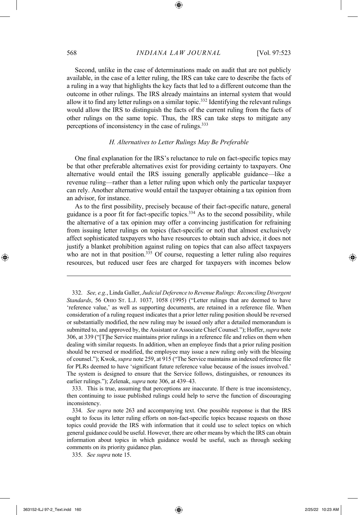Second, unlike in the case of determinations made on audit that are not publicly available, in the case of a letter ruling, the IRS can take care to describe the facts of a ruling in a way that highlights the key facts that led to a different outcome than the outcome in other rulings. The IRS already maintains an internal system that would allow it to find any letter rulings on a similar topic.<sup>332</sup> Identifying the relevant rulings would allow the IRS to distinguish the facts of the current ruling from the facts of other rulings on the same topic. Thus, the IRS can take steps to mitigate any perceptions of inconsistency in the case of rulings.<sup>333</sup>

## *H. Alternatives to Letter Rulings May Be Preferable*

One final explanation for the IRS's reluctance to rule on fact-specific topics may be that other preferable alternatives exist for providing certainty to taxpayers. One alternative would entail the IRS issuing generally applicable guidance—like a revenue ruling—rather than a letter ruling upon which only the particular taxpayer can rely. Another alternative would entail the taxpayer obtaining a tax opinion from an advisor, for instance.

As to the first possibility, precisely because of their fact-specific nature, general guidance is a poor fit for fact-specific topics.<sup>334</sup> As to the second possibility, while the alternative of a tax opinion may offer a convincing justification for refraining from issuing letter rulings on topics (fact-specific or not) that almost exclusively affect sophisticated taxpayers who have resources to obtain such advice, it does not justify a blanket prohibition against ruling on topics that can also affect taxpayers who are not in that position. $335$  Of course, requesting a letter ruling also requires resources, but reduced user fees are charged for taxpayers with incomes below

333. This is true, assuming that perceptions are inaccurate. If there is true inconsistency, then continuing to issue published rulings could help to serve the function of discouraging inconsistency.

<sup>332.</sup> *See, e.g.*, Linda Galler, *Judicial Deference to Revenue Rulings: Reconciling Divergent Standards*, 56 OHIO ST. L.J. 1037, 1058 (1995) ("Letter rulings that are deemed to have 'reference value,' as well as supporting documents, are retained in a reference file. When consideration of a ruling request indicates that a prior letter ruling position should be reversed or substantially modified, the new ruling may be issued only after a detailed memorandum is submitted to, and approved by, the Assistant or Associate Chief Counsel."); Hoffer, *supra* note 306, at 339 ("[T]he Service maintains prior rulings in a reference file and relies on them when dealing with similar requests. In addition, when an employee finds that a prior ruling position should be reversed or modified, the employee may issue a new ruling only with the blessing of counsel."); Kwok, *supra* note 259, at 915 ("The Service maintains an indexed reference file for PLRs deemed to have 'significant future reference value because of the issues involved.' The system is designed to ensure that the Service follows, distinguishes, or renounces its earlier rulings."); Zelenak, *supra* note 306, at 439–43.

<sup>334.</sup> *See supra* note 263 and accompanying text. One possible response is that the IRS ought to focus its letter ruling efforts on non-fact-specific topics because requests on those topics could provide the IRS with information that it could use to select topics on which general guidance could be useful. However, there are other means by which the IRS can obtain information about topics in which guidance would be useful, such as through seeking comments on its priority guidance plan.

<sup>335.</sup> *See supra* note 15.